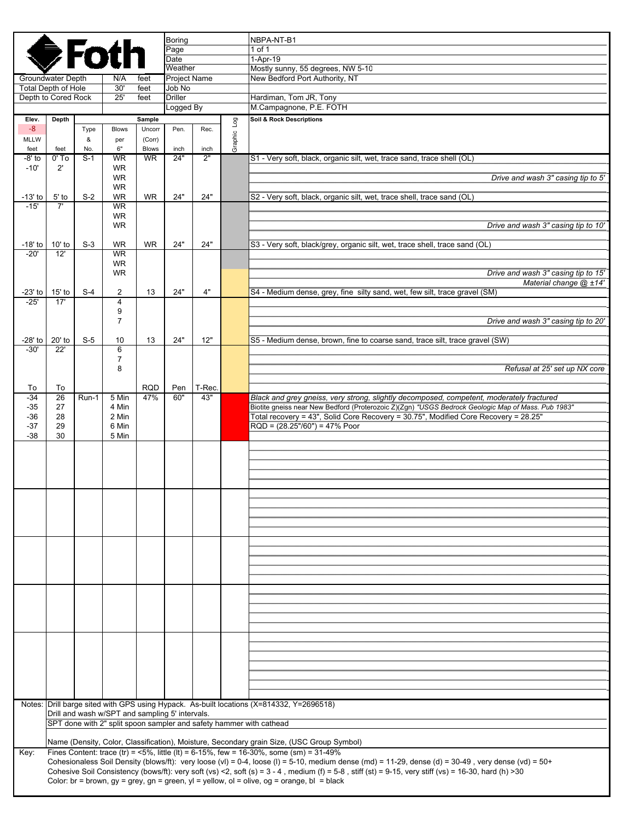|                                                 | Boring<br><b>●Foth</b><br>Page |              |                                                 |                           |                               |            |             | NBPA-NT-B1<br>1 of 1                                                                                                                                                                                                                             |
|-------------------------------------------------|--------------------------------|--------------|-------------------------------------------------|---------------------------|-------------------------------|------------|-------------|--------------------------------------------------------------------------------------------------------------------------------------------------------------------------------------------------------------------------------------------------|
|                                                 |                                |              |                                                 |                           | Date                          |            |             | $1-Apr-19$                                                                                                                                                                                                                                       |
|                                                 |                                |              |                                                 |                           | Weather                       |            |             | Mostly sunny, 55 degrees, NW 5-10                                                                                                                                                                                                                |
| Groundwater Depth<br><b>Total Depth of Hole</b> |                                |              | N/A<br>30'                                      | feet<br>feet              | <b>Project Name</b><br>Job No |            |             | New Bedford Port Authority, NT                                                                                                                                                                                                                   |
| Depth to Cored Rock                             |                                |              | 25'                                             | feet                      | <b>Driller</b>                |            |             | Hardiman, Tom JR, Tony                                                                                                                                                                                                                           |
|                                                 |                                |              |                                                 |                           | Logged By                     |            |             | M.Campagnone, P.E. FOTH                                                                                                                                                                                                                          |
| Elev.                                           | Depth                          |              |                                                 | Sample                    |                               |            |             | <b>Soil &amp; Rock Descriptions</b>                                                                                                                                                                                                              |
| $-8$                                            |                                | Type         | <b>Blows</b>                                    | Uncorr                    | Pen.                          | Rec.       | Graphic Log |                                                                                                                                                                                                                                                  |
| <b>MLLW</b>                                     |                                | &            | per                                             | (Corr)                    |                               |            |             |                                                                                                                                                                                                                                                  |
| feet<br>-8' to                                  | feet<br>$0'$ To                | No.<br>$S-1$ | 6"<br><b>WR</b>                                 | <b>Blows</b><br><b>WR</b> | inch<br>24"                   | inch<br>2" |             | S1 - Very soft, black, organic silt, wet, trace sand, trace shell (OL)                                                                                                                                                                           |
| $-10'$                                          | $2^{\prime}$                   |              | <b>WR</b>                                       |                           |                               |            |             |                                                                                                                                                                                                                                                  |
|                                                 |                                |              | WR.                                             |                           |                               |            |             | Drive and wash 3" casing tip to 5'                                                                                                                                                                                                               |
|                                                 |                                |              | <b>WR</b>                                       |                           |                               |            |             |                                                                                                                                                                                                                                                  |
| $-13'$ to<br>$-15'$                             | 5' to<br>7'                    | $S-2$        | <b>WR</b><br><b>WR</b>                          | <b>WR</b>                 | 24"                           | 24"        |             | S2 - Very soft, black, organic silt, wet, trace shell, trace sand (OL)                                                                                                                                                                           |
|                                                 |                                |              | <b>WR</b>                                       |                           |                               |            |             |                                                                                                                                                                                                                                                  |
|                                                 |                                |              | <b>WR</b>                                       |                           |                               |            |             | Drive and wash 3" casing tip to 10"                                                                                                                                                                                                              |
|                                                 |                                |              |                                                 |                           |                               |            |             |                                                                                                                                                                                                                                                  |
| $-18'$ to                                       | $10'$ to                       | $S-3$        | <b>WR</b>                                       | <b>WR</b>                 | 24"                           | 24"        |             | S3 - Very soft, black/grey, organic silt, wet, trace shell, trace sand (OL)                                                                                                                                                                      |
| $-20'$                                          | 12'                            |              | <b>WR</b><br><b>WR</b>                          |                           |                               |            |             |                                                                                                                                                                                                                                                  |
|                                                 |                                |              | <b>WR</b>                                       |                           |                               |            |             | Drive and wash 3" casing tip to 15'                                                                                                                                                                                                              |
|                                                 |                                |              |                                                 |                           |                               |            |             | Material change @ ±14'                                                                                                                                                                                                                           |
| $-23'$ to                                       | $15'$ to                       | $S-4$        | 2                                               | 13                        | 24"                           | 4"         |             | S4 - Medium dense, grey, fine silty sand, wet, few silt, trace gravel (SM)                                                                                                                                                                       |
| $-25'$                                          | 17'                            |              | $\overline{4}$<br>9                             |                           |                               |            |             |                                                                                                                                                                                                                                                  |
|                                                 |                                |              | $\overline{7}$                                  |                           |                               |            |             | Drive and wash 3" casing tip to 20"                                                                                                                                                                                                              |
|                                                 |                                |              |                                                 |                           |                               |            |             |                                                                                                                                                                                                                                                  |
| -28' to 20' to                                  |                                | $S-5$        | 10                                              | 13                        | 24"                           | 12"        |             | S5 - Medium dense, brown, fine to coarse sand, trace silt, trace gravel (SW)                                                                                                                                                                     |
| $-30'$                                          | 22'                            |              | 6                                               |                           |                               |            |             |                                                                                                                                                                                                                                                  |
|                                                 |                                |              | $\overline{7}$<br>8                             |                           |                               |            |             | Refusal at 25' set up NX core                                                                                                                                                                                                                    |
|                                                 |                                |              |                                                 |                           |                               |            |             |                                                                                                                                                                                                                                                  |
| To                                              | To                             |              |                                                 | <b>RQD</b>                | Pen                           | T-Rec.     |             |                                                                                                                                                                                                                                                  |
| $-34$                                           | 26                             | Run-1        | 5 Min                                           | 47%                       | 60"                           | 43"        |             | Black and grey gneiss, very strong, slightly decomposed, competent, moderately fractured                                                                                                                                                         |
| $-35$<br>$-36$                                  | 27<br>28                       |              | 4 Min<br>2 Min                                  |                           |                               |            |             | "Biotite gneiss near New Bedford (Proterozoic Z)(Zgn) "USGS Bedrock Geologic Map of Mass. Pub 1983<br>Total recovery = 43", Solid Core Recovery = 30.75", Modified Core Recovery = 28.25"                                                        |
| $-37$                                           | 29                             |              | 6 Min                                           |                           |                               |            |             | $RQD = (28.25*/60") = 47%$ Poor                                                                                                                                                                                                                  |
| $-38$                                           | 30                             |              | 5 Min                                           |                           |                               |            |             |                                                                                                                                                                                                                                                  |
|                                                 |                                |              |                                                 |                           |                               |            |             |                                                                                                                                                                                                                                                  |
|                                                 |                                |              |                                                 |                           |                               |            |             |                                                                                                                                                                                                                                                  |
|                                                 |                                |              |                                                 |                           |                               |            |             |                                                                                                                                                                                                                                                  |
|                                                 |                                |              |                                                 |                           |                               |            |             |                                                                                                                                                                                                                                                  |
|                                                 |                                |              |                                                 |                           |                               |            |             |                                                                                                                                                                                                                                                  |
|                                                 |                                |              |                                                 |                           |                               |            |             |                                                                                                                                                                                                                                                  |
|                                                 |                                |              |                                                 |                           |                               |            |             |                                                                                                                                                                                                                                                  |
|                                                 |                                |              |                                                 |                           |                               |            |             |                                                                                                                                                                                                                                                  |
|                                                 |                                |              |                                                 |                           |                               |            |             |                                                                                                                                                                                                                                                  |
|                                                 |                                |              |                                                 |                           |                               |            |             |                                                                                                                                                                                                                                                  |
|                                                 |                                |              |                                                 |                           |                               |            |             |                                                                                                                                                                                                                                                  |
|                                                 |                                |              |                                                 |                           |                               |            |             |                                                                                                                                                                                                                                                  |
|                                                 |                                |              |                                                 |                           |                               |            |             |                                                                                                                                                                                                                                                  |
|                                                 |                                |              |                                                 |                           |                               |            |             |                                                                                                                                                                                                                                                  |
|                                                 |                                |              |                                                 |                           |                               |            |             |                                                                                                                                                                                                                                                  |
|                                                 |                                |              |                                                 |                           |                               |            |             |                                                                                                                                                                                                                                                  |
|                                                 |                                |              |                                                 |                           |                               |            |             |                                                                                                                                                                                                                                                  |
|                                                 |                                |              |                                                 |                           |                               |            |             |                                                                                                                                                                                                                                                  |
|                                                 |                                |              |                                                 |                           |                               |            |             |                                                                                                                                                                                                                                                  |
|                                                 |                                |              |                                                 |                           |                               |            |             |                                                                                                                                                                                                                                                  |
|                                                 |                                |              |                                                 |                           |                               |            |             |                                                                                                                                                                                                                                                  |
|                                                 |                                |              |                                                 |                           |                               |            |             | Notes: Drill barge sited with GPS using Hypack. As-built locations (X=814332, Y=2696518)                                                                                                                                                         |
|                                                 |                                |              | Drill and wash w/SPT and sampling 5' intervals. |                           |                               |            |             |                                                                                                                                                                                                                                                  |
|                                                 |                                |              |                                                 |                           |                               |            |             | SPT done with 2" split spoon sampler and safety hammer with cathead                                                                                                                                                                              |
|                                                 |                                |              |                                                 |                           |                               |            |             |                                                                                                                                                                                                                                                  |
|                                                 |                                |              |                                                 |                           |                               |            |             | Name (Density, Color, Classification), Moisture, Secondary grain Size, (USC Group Symbol)                                                                                                                                                        |
| Key:                                            |                                |              |                                                 |                           |                               |            |             | Fines Content: trace (tr) = <5%, little (lt) = 6-15%, few = 16-30%, some (sm) = $31-49\%$<br>Cohesionaless Soil Density (blows/ft): very loose (vI) = 0-4, loose (I) = 5-10, medium dense (md) = 11-29, dense (d) = 30-49, very dense (vd) = 50+ |
|                                                 |                                |              |                                                 |                           |                               |            |             | Cohesive Soil Consistency (bows/ft): very soft (vs) <2, soft (s) = $3 - 4$ , medium (f) = $5 - 8$ , stiff (st) = $9 - 15$ , very stiff (vs) = $16 - 30$ , hard (h) > 30                                                                          |
|                                                 |                                |              |                                                 |                           |                               |            |             | Color: br = brown, gy = grey, gn = green, yl = yellow, ol = olive, og = orange, bl = black                                                                                                                                                       |
|                                                 |                                |              |                                                 |                           |                               |            |             |                                                                                                                                                                                                                                                  |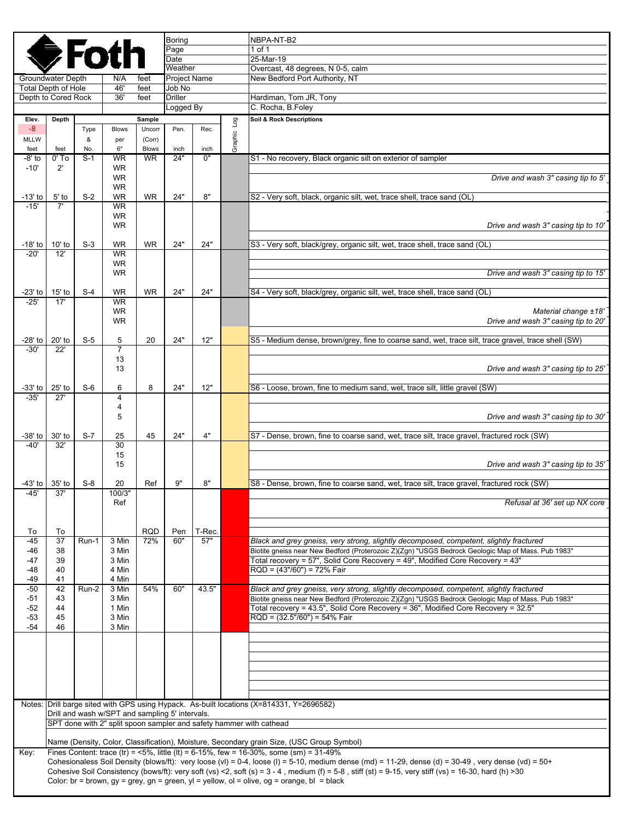|                   |                                                 |              |                                                 |                           | <b>Boring</b>          |            |             | NBPA-NT-B2                                                                                                                                                                                                                                                                                                                     |
|-------------------|-------------------------------------------------|--------------|-------------------------------------------------|---------------------------|------------------------|------------|-------------|--------------------------------------------------------------------------------------------------------------------------------------------------------------------------------------------------------------------------------------------------------------------------------------------------------------------------------|
|                   |                                                 | FO           |                                                 |                           | Page<br>Date           |            |             | 1 of 1<br>25-Mar-19                                                                                                                                                                                                                                                                                                            |
|                   |                                                 |              |                                                 |                           | Weather                |            |             | Overcast, 48 degrees, N 0-5, calm                                                                                                                                                                                                                                                                                              |
|                   | Groundwater Depth<br><b>Total Depth of Hole</b> |              | N/A<br>46'                                      | feet<br>feet              | Project Name<br>Job No |            |             | New Bedford Port Authority, NT                                                                                                                                                                                                                                                                                                 |
|                   | Depth to Cored Rock                             |              | 36'                                             | feet                      | <b>Driller</b>         |            |             | Hardiman, Tom JR, Tony                                                                                                                                                                                                                                                                                                         |
|                   |                                                 |              |                                                 |                           | Logged By              |            |             | C. Rocha, B.Foley                                                                                                                                                                                                                                                                                                              |
| Elev.<br>$-8$     | Depth                                           | Type         | <b>Blows</b>                                    | Sample<br>Uncorr          | Pen.                   | Rec.       |             | Soil & Rock Descriptions                                                                                                                                                                                                                                                                                                       |
| MLLW              |                                                 | &            | per                                             | (Corr)                    |                        |            | Graphic Log |                                                                                                                                                                                                                                                                                                                                |
| feet<br>-8' to    | feet<br>$0'$ To                                 | No.<br>$S-1$ | 6"<br><b>WR</b>                                 | <b>Blows</b><br><b>WR</b> | inch<br>24"            | inch<br>0" |             | S1 - No recovery, Black organic silt on exterior of sampler                                                                                                                                                                                                                                                                    |
| $-10'$            | $2^{\prime}$                                    |              | <b>WR</b>                                       |                           |                        |            |             |                                                                                                                                                                                                                                                                                                                                |
|                   |                                                 |              | <b>WR</b><br><b>WR</b>                          |                           |                        |            |             | Drive and wash 3" casing tip to 5'                                                                                                                                                                                                                                                                                             |
| $-13'$ to         | $5'$ to                                         | $S-2$        | <b>WR</b>                                       | <b>WR</b>                 | 24"                    | 8"         |             | S2 - Very soft, black, organic silt, wet, trace shell, trace sand (OL)                                                                                                                                                                                                                                                         |
| $-15'$            | 7'                                              |              | <b>WR</b><br><b>WR</b>                          |                           |                        |            |             |                                                                                                                                                                                                                                                                                                                                |
|                   |                                                 |              | <b>WR</b>                                       |                           |                        |            |             | Drive and wash 3" casing tip to 10'                                                                                                                                                                                                                                                                                            |
| -18' to           | $10'$ to                                        | $S-3$        | <b>WR</b>                                       | <b>WR</b>                 | 24"                    | 24"        |             | S3 - Very soft, black/grey, organic silt, wet, trace shell, trace sand (OL)                                                                                                                                                                                                                                                    |
| $-20'$            | 12'                                             |              | <b>WR</b>                                       |                           |                        |            |             |                                                                                                                                                                                                                                                                                                                                |
|                   |                                                 |              | <b>WR</b><br><b>WR</b>                          |                           |                        |            |             | Drive and wash 3" casing tip to 15'                                                                                                                                                                                                                                                                                            |
|                   |                                                 |              |                                                 |                           |                        |            |             |                                                                                                                                                                                                                                                                                                                                |
| -23' to<br>$-25'$ | $15'$ to<br>17'                                 | $S-4$        | <b>WR</b><br><b>WR</b>                          | <b>WR</b>                 | 24"                    | 24"        |             | S4 - Very soft, black/grey, organic silt, wet, trace shell, trace sand (OL)                                                                                                                                                                                                                                                    |
|                   |                                                 |              | <b>WR</b>                                       |                           |                        |            |             | Material change ±18'                                                                                                                                                                                                                                                                                                           |
|                   |                                                 |              | <b>WR</b>                                       |                           |                        |            |             | Drive and wash 3" casing tip to 20'                                                                                                                                                                                                                                                                                            |
| -28' to           | 20' to                                          | $S-5$        | 5                                               | 20                        | 24"                    | 12"        |             | S5 - Medium dense, brown/grey, fine to coarse sand, wet, trace silt, trace gravel, trace shell (SW)                                                                                                                                                                                                                            |
| $-30'$            | 22'                                             |              | $\overline{7}$<br>13                            |                           |                        |            |             |                                                                                                                                                                                                                                                                                                                                |
|                   |                                                 |              | 13                                              |                           |                        |            |             | Drive and wash 3" casing tip to 25'                                                                                                                                                                                                                                                                                            |
| -33' to           | $25'$ to                                        | $S-6$        | 6                                               | 8                         | 24"                    | 12"        |             | S6 - Loose, brown, fine to medium sand, wet, trace silt, little gravel (SW)                                                                                                                                                                                                                                                    |
| $-35'$            | 27'                                             |              | 4                                               |                           |                        |            |             |                                                                                                                                                                                                                                                                                                                                |
|                   |                                                 |              | 4<br>5                                          |                           |                        |            |             | Drive and wash 3" casing tip to 30'                                                                                                                                                                                                                                                                                            |
|                   |                                                 |              |                                                 |                           |                        |            |             |                                                                                                                                                                                                                                                                                                                                |
| -38' to<br>$-40'$ | 30' to<br>32'                                   | $S-7$        | 25<br>30                                        | 45                        | 24"                    | 4"         |             | S7 - Dense, brown, fine to coarse sand, wet, trace silt, trace gravel, fractured rock (SW)                                                                                                                                                                                                                                     |
|                   |                                                 |              | 15                                              |                           |                        |            |             |                                                                                                                                                                                                                                                                                                                                |
|                   |                                                 |              | 15                                              |                           |                        |            |             | Drive and wash 3" casing tip to 35'                                                                                                                                                                                                                                                                                            |
| -43' to l         | $35'$ to                                        | $S-8$        | 20                                              | Ref                       | 9"                     | 8"         |             | S8 - Dense, brown, fine to coarse sand, wet, trace silt, trace gravel, fractured rock (SW)                                                                                                                                                                                                                                     |
| $-45'$            | 37'                                             |              | 100/3"<br>Ref                                   |                           |                        |            |             | Refusal at 36' set up NX core                                                                                                                                                                                                                                                                                                  |
|                   |                                                 |              |                                                 |                           |                        |            |             |                                                                                                                                                                                                                                                                                                                                |
| To                | To                                              |              |                                                 | <b>RQD</b>                | Pen                    | T-Rec.     |             |                                                                                                                                                                                                                                                                                                                                |
| $-45$             | 37                                              | Run-1        | 3 Min                                           | 72%                       | 60"                    | 57"        |             | Black and grey gneiss, very strong, slightly decomposed, competent, slightly fractured                                                                                                                                                                                                                                         |
| -46<br>-47        | 38<br>39                                        |              | 3 Min<br>3 Min                                  |                           |                        |            |             | Biotite gneiss near New Bedford (Proterozoic Z)(Zgn) "USGS Bedrock Geologic Map of Mass. Pub 1983"<br>Total recovery = 57", Solid Core Recovery = 49", Modified Core Recovery = 43"                                                                                                                                            |
| $-48$             | 40                                              |              | 4 Min                                           |                           |                        |            |             | RQD = (43"/60") = 72% Fair                                                                                                                                                                                                                                                                                                     |
| -49<br>$-50$      | 41<br>42                                        | Run-2        | 4 Min<br>3 Min                                  | 54%                       | 60"                    | 43.5"      |             | Black and grey gneiss, very strong, slightly decomposed, competent, slightly fractured                                                                                                                                                                                                                                         |
| -51               | 43                                              |              | 3 Min                                           |                           |                        |            |             | Biotite gneiss near New Bedford (Proterozoic Z)(Zgn) "USGS Bedrock Geologic Map of Mass. Pub 1983"                                                                                                                                                                                                                             |
| $-52$<br>$-53$    | 44<br>45                                        |              | 1 Min<br>3 Min                                  |                           |                        |            |             | Total recovery = 43.5", Solid Core Recovery = 36", Modified Core Recovery = 32.5"<br>$RQD = (32.5*/60") = 54%$ Fair                                                                                                                                                                                                            |
| $-54$             | 46                                              |              | 3 Min                                           |                           |                        |            |             |                                                                                                                                                                                                                                                                                                                                |
|                   |                                                 |              |                                                 |                           |                        |            |             |                                                                                                                                                                                                                                                                                                                                |
|                   |                                                 |              |                                                 |                           |                        |            |             |                                                                                                                                                                                                                                                                                                                                |
|                   |                                                 |              |                                                 |                           |                        |            |             |                                                                                                                                                                                                                                                                                                                                |
|                   |                                                 |              |                                                 |                           |                        |            |             |                                                                                                                                                                                                                                                                                                                                |
|                   |                                                 |              |                                                 |                           |                        |            |             |                                                                                                                                                                                                                                                                                                                                |
|                   |                                                 |              | Drill and wash w/SPT and sampling 5' intervals. |                           |                        |            |             | Notes: Drill barge sited with GPS using Hypack. As-built locations (X=814331, Y=2696582)                                                                                                                                                                                                                                       |
|                   |                                                 |              |                                                 |                           |                        |            |             | SPT done with 2" split spoon sampler and safety hammer with cathead                                                                                                                                                                                                                                                            |
|                   |                                                 |              |                                                 |                           |                        |            |             | Name (Density, Color, Classification), Moisture, Secondary grain Size, (USC Group Symbol)                                                                                                                                                                                                                                      |
| Key:              |                                                 |              |                                                 |                           |                        |            |             | Fines Content: trace (tr) = <5%, little (lt) = 6-15%, few = 16-30%, some (sm) = $31-49%$                                                                                                                                                                                                                                       |
|                   |                                                 |              |                                                 |                           |                        |            |             | Cohesionaless Soil Density (blows/ft): very loose (vl) = 0-4, loose (l) = 5-10, medium dense (md) = 11-29, dense (d) = 30-49, very dense (vd) = 50+<br>Cohesive Soil Consistency (bows/ft): very soft (vs) <2, soft (s) = $3 - 4$ , medium (f) = $5 - 8$ , stiff (st) = $9 - 15$ , very stiff (vs) = $16 - 30$ , hard (h) > 30 |
|                   |                                                 |              |                                                 |                           |                        |            |             | Color: br = brown, $gy = grey$ , $gn = green$ , $yl = yellow$ , $ol = olive$ , $og = orange$ , $bl = black$                                                                                                                                                                                                                    |
|                   |                                                 |              |                                                 |                           |                        |            |             |                                                                                                                                                                                                                                                                                                                                |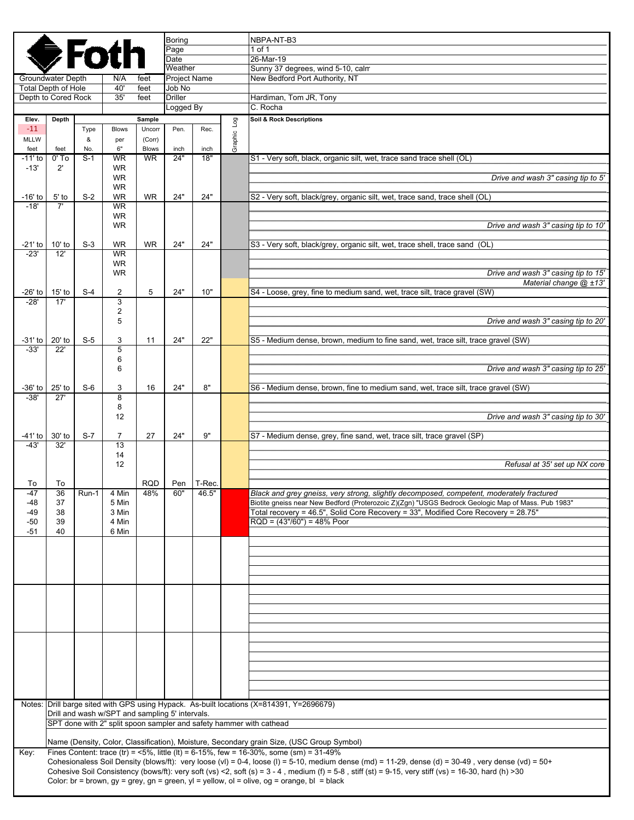|                                                   | <b>Boring</b><br><b>⊜Fotl</b><br>Page<br>Date                                             |       |                                                 |                  |                          |                 |           | NBPA-NT-B3<br>1 of 1                                                                                                                                                                                                                             |  |  |
|---------------------------------------------------|-------------------------------------------------------------------------------------------|-------|-------------------------------------------------|------------------|--------------------------|-----------------|-----------|--------------------------------------------------------------------------------------------------------------------------------------------------------------------------------------------------------------------------------------------------|--|--|
|                                                   |                                                                                           |       |                                                 |                  | Weather                  |                 |           | 26-Mar-19<br>Sunny 37 degrees, wind 5-10, calm                                                                                                                                                                                                   |  |  |
| Groundwater Depth                                 |                                                                                           |       | N/A<br>40'                                      | feet             | <b>Project Name</b>      |                 |           | New Bedford Port Authority, NT                                                                                                                                                                                                                   |  |  |
| <b>Total Depth of Hole</b><br>Depth to Cored Rock |                                                                                           |       | 35'                                             | feet<br>feet     | Job No<br><b>Driller</b> |                 |           | Hardiman, Tom JR, Tony                                                                                                                                                                                                                           |  |  |
|                                                   |                                                                                           |       |                                                 |                  | Logged By                |                 |           | C. Rocha                                                                                                                                                                                                                                         |  |  |
| Elev.<br>$-11$                                    | Depth                                                                                     | Type  | <b>Blows</b>                                    | Sample<br>Uncorr | Pen.                     | Rec.            | Log       | Soil & Rock Descriptions                                                                                                                                                                                                                         |  |  |
| <b>MLLW</b>                                       |                                                                                           | &     | per                                             | (Corr)           |                          |                 | Graphic I |                                                                                                                                                                                                                                                  |  |  |
| feet                                              | feet                                                                                      | No.   | 6"                                              | <b>Blows</b>     | inch                     | inch            |           |                                                                                                                                                                                                                                                  |  |  |
| -11' to<br>$-13'$                                 | $0'$ To<br>$2^{\prime}$                                                                   | $S-1$ | <b>WR</b><br><b>WR</b>                          | <b>WR</b>        | 24"                      | 18"             |           | S1 - Very soft, black, organic silt, wet, trace sand trace shell (OL)                                                                                                                                                                            |  |  |
|                                                   |                                                                                           |       | <b>WR</b>                                       |                  |                          |                 |           | Drive and wash 3" casing tip to 5'                                                                                                                                                                                                               |  |  |
| $-16'$ to                                         | $5'$ to                                                                                   | $S-2$ | <b>WR</b><br><b>WR</b>                          | <b>WR</b>        | 24"                      | 24"             |           | S2 - Very soft, black/grey, organic silt, wet, trace sand, trace shell (OL)                                                                                                                                                                      |  |  |
| $-18'$                                            | 7'                                                                                        |       | <b>WR</b>                                       |                  |                          |                 |           |                                                                                                                                                                                                                                                  |  |  |
|                                                   |                                                                                           |       | <b>WR</b><br><b>WR</b>                          |                  |                          |                 |           | Drive and wash 3" casing tip to 10'                                                                                                                                                                                                              |  |  |
|                                                   |                                                                                           |       |                                                 |                  |                          |                 |           |                                                                                                                                                                                                                                                  |  |  |
| -21' to<br>$-23'$                                 | $10'$ to<br>12'                                                                           | $S-3$ | <b>WR</b><br><b>WR</b>                          | <b>WR</b>        | 24"                      | 24"             |           | S3 - Very soft, black/grey, organic silt, wet, trace shell, trace sand (OL)                                                                                                                                                                      |  |  |
|                                                   |                                                                                           |       | WR                                              |                  |                          |                 |           |                                                                                                                                                                                                                                                  |  |  |
|                                                   |                                                                                           |       | <b>WR</b>                                       |                  |                          |                 |           | Drive and wash 3" casing tip to 15'<br>Material change @ ±13'                                                                                                                                                                                    |  |  |
| -26' to                                           | $15'$ to                                                                                  | $S-4$ | $\overline{2}$                                  | 5                | 24"                      | 10"             |           | S4 - Loose, grey, fine to medium sand, wet, trace silt, trace gravel (SW)                                                                                                                                                                        |  |  |
| $-28'$                                            | 17'                                                                                       |       | 3                                               |                  |                          |                 |           |                                                                                                                                                                                                                                                  |  |  |
|                                                   |                                                                                           |       | $\overline{2}$<br>5                             |                  |                          |                 |           | Drive and wash 3" casing tip to 20'                                                                                                                                                                                                              |  |  |
|                                                   |                                                                                           |       |                                                 |                  |                          |                 |           |                                                                                                                                                                                                                                                  |  |  |
| $-31'$ to<br>$-33'$                               | 20' to<br>22'                                                                             | $S-5$ | 3<br>5                                          | 11               | 24"                      | 22"             |           | S5 - Medium dense, brown, medium to fine sand, wet, trace silt, trace gravel (SW)                                                                                                                                                                |  |  |
|                                                   |                                                                                           |       | 6                                               |                  |                          |                 |           |                                                                                                                                                                                                                                                  |  |  |
|                                                   |                                                                                           |       | 6                                               |                  |                          |                 |           | Drive and wash 3" casing tip to 25'                                                                                                                                                                                                              |  |  |
| -36' to l                                         | 25' to                                                                                    | $S-6$ | 3                                               | 16               | 24"                      | 8"              |           | S6 - Medium dense, brown, fine to medium sand, wet, trace silt, trace gravel (SW)                                                                                                                                                                |  |  |
| $-38'$                                            | $\overline{27}$                                                                           |       | $\overline{8}$<br>8                             |                  |                          |                 |           |                                                                                                                                                                                                                                                  |  |  |
|                                                   |                                                                                           |       | 12                                              |                  |                          |                 |           | Drive and wash 3" casing tip to 30'                                                                                                                                                                                                              |  |  |
| -41' to l                                         | 30' to                                                                                    | $S-7$ | 7                                               | 27               | 24"                      | 9"              |           | S7 - Medium dense, grey, fine sand, wet, trace silt, trace gravel (SP)                                                                                                                                                                           |  |  |
| $-43'$                                            | 32'                                                                                       |       | 13                                              |                  |                          |                 |           |                                                                                                                                                                                                                                                  |  |  |
|                                                   |                                                                                           |       | 14<br>12                                        |                  |                          |                 |           | Refusal at 35' set up NX core                                                                                                                                                                                                                    |  |  |
|                                                   |                                                                                           |       |                                                 |                  |                          |                 |           |                                                                                                                                                                                                                                                  |  |  |
| To<br>$-47$                                       | To<br>36                                                                                  | Run-1 | 4 Min                                           | RQD<br>48%       | Pen<br>60"               | T-Rec.<br>46.5" |           | Black and grey gneiss, very strong, slightly decomposed, competent, moderately fractured                                                                                                                                                         |  |  |
| -48                                               | 37                                                                                        |       | 5 Min                                           |                  |                          |                 |           | Biotite gneiss near New Bedford (Proterozoic Z)(Zgn) "USGS Bedrock Geologic Map of Mass. Pub 1983"                                                                                                                                               |  |  |
| -49                                               | 38                                                                                        |       | 3 Min                                           |                  |                          |                 |           | Total recovery = 46.5", Solid Core Recovery = 33", Modified Core Recovery = 28.75"                                                                                                                                                               |  |  |
| -50<br>$-51$                                      | 39<br>40                                                                                  |       | 4 Min<br>6 Min                                  |                  |                          |                 |           | $RQD = (43*/60") = 48%$ Poor                                                                                                                                                                                                                     |  |  |
|                                                   |                                                                                           |       |                                                 |                  |                          |                 |           |                                                                                                                                                                                                                                                  |  |  |
|                                                   |                                                                                           |       |                                                 |                  |                          |                 |           |                                                                                                                                                                                                                                                  |  |  |
|                                                   |                                                                                           |       |                                                 |                  |                          |                 |           |                                                                                                                                                                                                                                                  |  |  |
|                                                   |                                                                                           |       |                                                 |                  |                          |                 |           |                                                                                                                                                                                                                                                  |  |  |
|                                                   |                                                                                           |       |                                                 |                  |                          |                 |           |                                                                                                                                                                                                                                                  |  |  |
|                                                   |                                                                                           |       |                                                 |                  |                          |                 |           |                                                                                                                                                                                                                                                  |  |  |
|                                                   |                                                                                           |       |                                                 |                  |                          |                 |           |                                                                                                                                                                                                                                                  |  |  |
|                                                   |                                                                                           |       |                                                 |                  |                          |                 |           |                                                                                                                                                                                                                                                  |  |  |
|                                                   |                                                                                           |       |                                                 |                  |                          |                 |           |                                                                                                                                                                                                                                                  |  |  |
|                                                   |                                                                                           |       |                                                 |                  |                          |                 |           |                                                                                                                                                                                                                                                  |  |  |
|                                                   |                                                                                           |       |                                                 |                  |                          |                 |           |                                                                                                                                                                                                                                                  |  |  |
|                                                   |                                                                                           |       |                                                 |                  |                          |                 |           | Notes: Drill barge sited with GPS using Hypack. As-built locations (X=814391, Y=2696679)                                                                                                                                                         |  |  |
|                                                   |                                                                                           |       | Drill and wash w/SPT and sampling 5' intervals. |                  |                          |                 |           |                                                                                                                                                                                                                                                  |  |  |
|                                                   |                                                                                           |       |                                                 |                  |                          |                 |           | SPT done with 2" split spoon sampler and safety hammer with cathead                                                                                                                                                                              |  |  |
|                                                   | Name (Density, Color, Classification), Moisture, Secondary grain Size, (USC Group Symbol) |       |                                                 |                  |                          |                 |           |                                                                                                                                                                                                                                                  |  |  |
| Key:                                              |                                                                                           |       |                                                 |                  |                          |                 |           | Fines Content: trace (tr) = $5\%$ , little (lt) = 6-15%, few = 16-30%, some (sm) = 31-49%<br>Cohesionaless Soil Density (blows/ft): very loose (vl) = 0-4, loose (l) = 5-10, medium dense (md) = 11-29, dense (d) = 30-49, very dense (vd) = 50+ |  |  |
|                                                   |                                                                                           |       |                                                 |                  |                          |                 |           | Cohesive Soil Consistency (bows/ft): very soft (vs) <2, soft (s) = $3 - 4$ , medium (f) = $5 - 8$ , stiff (st) = $9 - 15$ , very stiff (vs) = 16-30, hard (h) > 30                                                                               |  |  |
|                                                   |                                                                                           |       |                                                 |                  |                          |                 |           | Color: br = brown, gy = grey, gn = green, yl = yellow, ol = olive, og = orange, bl = black                                                                                                                                                       |  |  |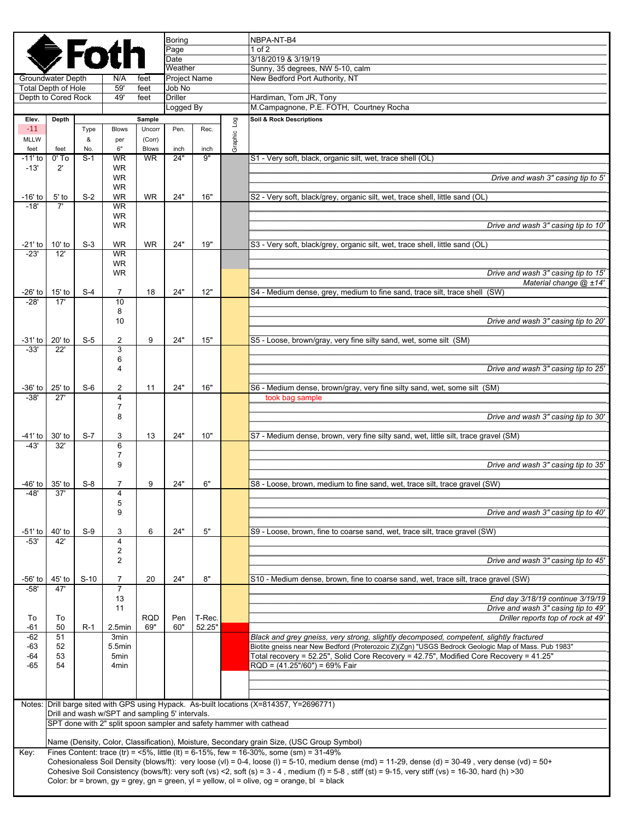|                            |                                                                     |                |                                                 |                  | <b>Boring</b>   |        |         | NBPA-NT-B4                                                                                                                                                                             |  |  |  |
|----------------------------|---------------------------------------------------------------------|----------------|-------------------------------------------------|------------------|-----------------|--------|---------|----------------------------------------------------------------------------------------------------------------------------------------------------------------------------------------|--|--|--|
|                            |                                                                     | <b>De</b> Fotl |                                                 |                  | Page            |        |         | $1$ of $2$<br>3/18/2019 & 3/19/19                                                                                                                                                      |  |  |  |
|                            |                                                                     |                |                                                 |                  | Date<br>Weather |        |         | Sunny, 35 degrees, NW 5-10, calm                                                                                                                                                       |  |  |  |
|                            | Groundwater Depth                                                   |                | N/A                                             | feet             | Project Name    |        |         | New Bedford Port Authority, NT                                                                                                                                                         |  |  |  |
| <b>Total Depth of Hole</b> |                                                                     |                | 59'                                             | feet             | Job No          |        |         |                                                                                                                                                                                        |  |  |  |
|                            | Depth to Cored Rock                                                 |                | 49'                                             | feet             | <b>Driller</b>  |        |         | Hardiman, Tom JR, Tony                                                                                                                                                                 |  |  |  |
|                            |                                                                     |                |                                                 |                  | Logged By       |        |         | M.Campagnone, P.E. FOTH, Courtney Rocha                                                                                                                                                |  |  |  |
| Elev.<br>$-11$             | Depth                                                               | Type           | <b>Blows</b>                                    | Sample<br>Uncorr | Pen.            | Rec.   | Log     | Soil & Rock Descriptions                                                                                                                                                               |  |  |  |
| <b>MLLW</b>                |                                                                     | &              | per                                             | (Corr)           |                 |        | Graphic |                                                                                                                                                                                        |  |  |  |
| feet                       | feet                                                                | No.            | 6"                                              | <b>Blows</b>     | inch            | inch   |         |                                                                                                                                                                                        |  |  |  |
| -11' to                    | $0'$ To                                                             | $S-1$          | <b>WR</b>                                       | <b>WR</b>        | 24"             | 9"     |         | S1 - Very soft, black, organic silt, wet, trace shell (OL)                                                                                                                             |  |  |  |
| $-13'$                     | $2^{\prime}$                                                        |                | <b>WR</b><br><b>WR</b>                          |                  |                 |        |         | Drive and wash 3" casing tip to 5'                                                                                                                                                     |  |  |  |
|                            |                                                                     |                | <b>WR</b>                                       |                  |                 |        |         |                                                                                                                                                                                        |  |  |  |
| $-16'$ to                  | $5'$ to                                                             | $S-2$          | <b>WR</b>                                       | <b>WR</b>        | 24"             | 16"    |         | S2 - Very soft, black/grey, organic silt, wet, trace shell, little sand (OL)                                                                                                           |  |  |  |
| $-18'$                     | 7'                                                                  |                | <b>WR</b><br><b>WR</b>                          |                  |                 |        |         |                                                                                                                                                                                        |  |  |  |
|                            |                                                                     |                | <b>WR</b>                                       |                  |                 |        |         | Drive and wash 3" casing tip to 10"                                                                                                                                                    |  |  |  |
|                            |                                                                     |                |                                                 |                  |                 |        |         |                                                                                                                                                                                        |  |  |  |
| -21' to                    | $10'$ to                                                            | $S-3$          | <b>WR</b>                                       | <b>WR</b>        | 24"             | 19"    |         | S3 - Very soft, black/grey, organic silt, wet, trace shell, little sand (OL)                                                                                                           |  |  |  |
| $-23'$                     | 12'                                                                 |                | <b>WR</b><br><b>WR</b>                          |                  |                 |        |         |                                                                                                                                                                                        |  |  |  |
|                            |                                                                     |                | <b>WR</b>                                       |                  |                 |        |         | Drive and wash 3" casing tip to 15'                                                                                                                                                    |  |  |  |
|                            |                                                                     |                |                                                 |                  |                 |        |         | Material change @ ±14'                                                                                                                                                                 |  |  |  |
| -26' to                    | $15'$ to<br>17'                                                     | $S-4$          | 7                                               | 18               | 24"             | 12"    |         | S4 - Medium dense, grey, medium to fine sand, trace silt, trace shell (SW)                                                                                                             |  |  |  |
| $-28'$                     |                                                                     |                | 10<br>8                                         |                  |                 |        |         |                                                                                                                                                                                        |  |  |  |
|                            |                                                                     |                | 10                                              |                  |                 |        |         | Drive and wash 3" casing tip to 20"                                                                                                                                                    |  |  |  |
|                            |                                                                     |                |                                                 |                  |                 |        |         |                                                                                                                                                                                        |  |  |  |
| $-31'$ to<br>$-33'$        | 20' to<br>22'                                                       | $S-5$          | 2<br>$\overline{3}$                             | 9                | 24"             | 15"    |         | S5 - Loose, brown/gray, very fine silty sand, wet, some silt (SM)                                                                                                                      |  |  |  |
|                            |                                                                     |                | 6                                               |                  |                 |        |         |                                                                                                                                                                                        |  |  |  |
|                            |                                                                     |                | 4                                               |                  |                 |        |         | Drive and wash 3" casing tip to 25'                                                                                                                                                    |  |  |  |
|                            |                                                                     |                |                                                 |                  |                 |        |         |                                                                                                                                                                                        |  |  |  |
| -36' to<br>-38'            | $25'$ to<br>27'                                                     | $S-6$          | 2<br>4                                          | 11               | 24"             | 16"    |         | S6 - Medium dense, brown/gray, very fine silty sand, wet, some silt (SM)<br>took bag sample                                                                                            |  |  |  |
|                            |                                                                     |                | $\overline{7}$                                  |                  |                 |        |         |                                                                                                                                                                                        |  |  |  |
|                            |                                                                     |                | 8                                               |                  |                 |        |         | Drive and wash 3" casing tip to 30"                                                                                                                                                    |  |  |  |
|                            |                                                                     |                |                                                 |                  |                 |        |         |                                                                                                                                                                                        |  |  |  |
| -41' to<br>$-43'$          | 30' to<br>32'                                                       | $S-7$          | 3<br>6                                          | 13               | 24"             | 10"    |         | S7 - Medium dense, brown, very fine silty sand, wet, little silt, trace gravel (SM)                                                                                                    |  |  |  |
|                            |                                                                     |                | $\overline{7}$                                  |                  |                 |        |         |                                                                                                                                                                                        |  |  |  |
|                            |                                                                     |                | 9                                               |                  |                 |        |         | Drive and wash 3" casing tip to 35'                                                                                                                                                    |  |  |  |
| -46' to                    | $35'$ to                                                            | $S-8$          | 7                                               | 9                | 24"             | 6"     |         | S8 - Loose, brown, medium to fine sand, wet, trace silt, trace gravel (SW)                                                                                                             |  |  |  |
| -48'                       | 37'                                                                 |                | 4                                               |                  |                 |        |         |                                                                                                                                                                                        |  |  |  |
|                            |                                                                     |                | 5                                               |                  |                 |        |         |                                                                                                                                                                                        |  |  |  |
|                            |                                                                     |                | 9                                               |                  |                 |        |         | Drive and wash 3" casing tip to 40'                                                                                                                                                    |  |  |  |
| -51' to                    | 40' to                                                              | $S-9$          | 3                                               | 6                | 24"             | 5"     |         | S9 - Loose, brown, fine to coarse sand, wet, trace silt, trace gravel (SW)                                                                                                             |  |  |  |
| $-53'$                     | 42'                                                                 |                | $\overline{\mathbf{4}}$                         |                  |                 |        |         |                                                                                                                                                                                        |  |  |  |
|                            |                                                                     |                | $\overline{2}$                                  |                  |                 |        |         |                                                                                                                                                                                        |  |  |  |
|                            |                                                                     |                | $\overline{2}$                                  |                  |                 |        |         | Drive and wash 3" casing tip to 45'                                                                                                                                                    |  |  |  |
| -56' to                    | 45' to                                                              | $S-10$         | $\overline{7}$                                  | 20               | 24"             | 8"     |         | S10 - Medium dense, brown, fine to coarse sand, wet, trace silt, trace gravel (SW)                                                                                                     |  |  |  |
| $-58'$                     | 47'                                                                 |                | $\overline{7}$                                  |                  |                 |        |         |                                                                                                                                                                                        |  |  |  |
|                            |                                                                     |                | 13                                              |                  |                 |        |         | End day 3/18/19 continue 3/19/19                                                                                                                                                       |  |  |  |
| To                         | To                                                                  |                | 11                                              | <b>RQD</b>       | Pen             | T-Rec. |         | Drive and wash 3" casing tip to 49'<br>Driller reports top of rock at 49'                                                                                                              |  |  |  |
| $-61$                      | 50                                                                  | R-1            | 2.5min                                          | 69"              | 60"             | 52.25" |         |                                                                                                                                                                                        |  |  |  |
| $-62$                      | 51                                                                  |                | 3min                                            |                  |                 |        |         | Black and grey gneiss, very strong, slightly decomposed, competent, slightly fractured                                                                                                 |  |  |  |
| -63                        | 52                                                                  |                | 5.5min                                          |                  |                 |        |         | Biotite gneiss near New Bedford (Proterozoic Z)(Zgn) "USGS Bedrock Geologic Map of Mass. Pub 1983"                                                                                     |  |  |  |
| $-64$<br>$-65$             | 53<br>54                                                            |                | 5 <sub>min</sub><br>4 <sub>min</sub>            |                  |                 |        |         | Total recovery = 52.25", Solid Core Recovery = 42.75", Modified Core Recovery = 41.25"<br>RQD = (41.25"/60") = 69% Fair                                                                |  |  |  |
|                            |                                                                     |                |                                                 |                  |                 |        |         |                                                                                                                                                                                        |  |  |  |
|                            |                                                                     |                |                                                 |                  |                 |        |         |                                                                                                                                                                                        |  |  |  |
|                            |                                                                     |                |                                                 |                  |                 |        |         | Notes: Drill barge sited with GPS using Hypack. As-built locations (X=814357, Y=2696771)                                                                                               |  |  |  |
|                            |                                                                     |                | Drill and wash w/SPT and sampling 5' intervals. |                  |                 |        |         |                                                                                                                                                                                        |  |  |  |
|                            | SPT done with 2" split spoon sampler and safety hammer with cathead |                |                                                 |                  |                 |        |         |                                                                                                                                                                                        |  |  |  |
|                            |                                                                     |                |                                                 |                  |                 |        |         |                                                                                                                                                                                        |  |  |  |
| Key:                       |                                                                     |                |                                                 |                  |                 |        |         | Name (Density, Color, Classification), Moisture, Secondary grain Size, (USC Group Symbol)<br>Fines Content: trace (tr) = $5\%$ , little (lt) = 6-15%, few = 16-30%, some (sm) = 31-49% |  |  |  |
|                            |                                                                     |                |                                                 |                  |                 |        |         | Cohesionaless Soil Density (blows/ft): very loose (vl) = 0-4, loose (l) = 5-10, medium dense (md) = 11-29, dense (d) = 30-49, very dense (vd) = 50+                                    |  |  |  |
|                            |                                                                     |                |                                                 |                  |                 |        |         | Cohesive Soil Consistency (bows/ft): very soft (vs) <2, soft (s) = $3 - 4$ , medium (f) = $5 - 8$ , stiff (st) = $9 - 15$ , very stiff (vs) = 16-30, hard (h) > 30                     |  |  |  |
|                            |                                                                     |                |                                                 |                  |                 |        |         | Color: br = brown, $gy = grey$ , $gn = green$ , $yl = yellow$ , $ol = olive$ , $og = orange$ , $bl = black$                                                                            |  |  |  |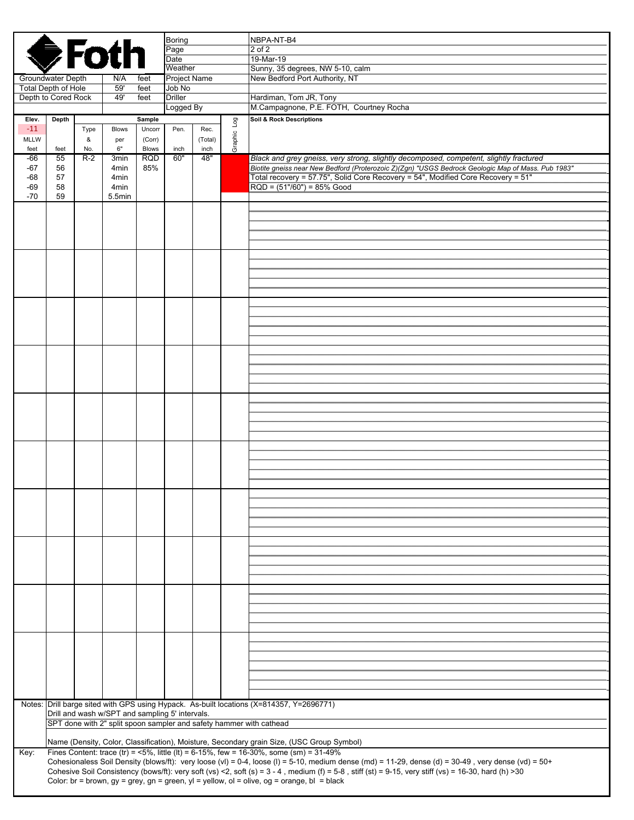|                                                   | <b>Boring</b><br><b>SFoth</b><br>Page                                                                                                                                                                              |          |                |                        |                          |                 |         | NBPA-NT-B4<br>2 of 2                                                                                                                                                                                                                                                  |  |  |
|---------------------------------------------------|--------------------------------------------------------------------------------------------------------------------------------------------------------------------------------------------------------------------|----------|----------------|------------------------|--------------------------|-----------------|---------|-----------------------------------------------------------------------------------------------------------------------------------------------------------------------------------------------------------------------------------------------------------------------|--|--|
|                                                   |                                                                                                                                                                                                                    |          |                |                        | Date                     |                 |         | 19-Mar-19                                                                                                                                                                                                                                                             |  |  |
| Groundwater Depth                                 |                                                                                                                                                                                                                    |          | N/A            | feet                   | Weather<br>Project Name  |                 |         | Sunny, 35 degrees, NW 5-10, calm<br>New Bedford Port Authority, NT                                                                                                                                                                                                    |  |  |
| <b>Total Depth of Hole</b><br>Depth to Cored Rock |                                                                                                                                                                                                                    |          | 59'<br>49'     | feet<br>feet           | Job No<br><b>Driller</b> |                 |         | Hardiman, Tom JR, Tony                                                                                                                                                                                                                                                |  |  |
|                                                   |                                                                                                                                                                                                                    |          |                |                        | Logged By                |                 |         | M.Campagnone, P.E. FOTH, Courtney Rocha                                                                                                                                                                                                                               |  |  |
| Elev.<br>$-11$                                    | Depth                                                                                                                                                                                                              | Type     | <b>Blows</b>   | Sample<br>Uncorr       | Pen.                     | Rec.            | БoГ     | <b>Soil &amp; Rock Descriptions</b>                                                                                                                                                                                                                                   |  |  |
| <b>MLLW</b><br>feet                               | feet                                                                                                                                                                                                               | &<br>No. | per<br>6"      | (Corr)<br><b>Blows</b> | inch                     | (Total)<br>inch | Graphic |                                                                                                                                                                                                                                                                       |  |  |
| -66                                               | 55                                                                                                                                                                                                                 | $R-2$    | 3min           | <b>RQD</b>             | 60"                      | 48"             |         | Black and grey gneiss, very strong, slightly decomposed, competent, slightly fractured                                                                                                                                                                                |  |  |
| $-67$<br>$-68$                                    | 56<br>57                                                                                                                                                                                                           |          | 4min<br>4min   | 85%                    |                          |                 |         | Biotite gneiss near New Bedford (Proterozoic Z)(Zgn) "USGS Bedrock Geologic Map of Mass. Pub 1983"<br>Total recovery = 57.75", Solid Core Recovery = 54", Modified Core Recovery = 51"                                                                                |  |  |
| $-69$<br>$-70$                                    | 58<br>59                                                                                                                                                                                                           |          | 4min<br>5.5min |                        |                          |                 |         | $RQD = (51*/60") = 85%$ Good                                                                                                                                                                                                                                          |  |  |
|                                                   |                                                                                                                                                                                                                    |          |                |                        |                          |                 |         |                                                                                                                                                                                                                                                                       |  |  |
|                                                   |                                                                                                                                                                                                                    |          |                |                        |                          |                 |         |                                                                                                                                                                                                                                                                       |  |  |
|                                                   |                                                                                                                                                                                                                    |          |                |                        |                          |                 |         |                                                                                                                                                                                                                                                                       |  |  |
|                                                   |                                                                                                                                                                                                                    |          |                |                        |                          |                 |         |                                                                                                                                                                                                                                                                       |  |  |
|                                                   |                                                                                                                                                                                                                    |          |                |                        |                          |                 |         |                                                                                                                                                                                                                                                                       |  |  |
|                                                   |                                                                                                                                                                                                                    |          |                |                        |                          |                 |         |                                                                                                                                                                                                                                                                       |  |  |
|                                                   |                                                                                                                                                                                                                    |          |                |                        |                          |                 |         |                                                                                                                                                                                                                                                                       |  |  |
|                                                   |                                                                                                                                                                                                                    |          |                |                        |                          |                 |         |                                                                                                                                                                                                                                                                       |  |  |
|                                                   |                                                                                                                                                                                                                    |          |                |                        |                          |                 |         |                                                                                                                                                                                                                                                                       |  |  |
|                                                   |                                                                                                                                                                                                                    |          |                |                        |                          |                 |         |                                                                                                                                                                                                                                                                       |  |  |
|                                                   |                                                                                                                                                                                                                    |          |                |                        |                          |                 |         |                                                                                                                                                                                                                                                                       |  |  |
|                                                   |                                                                                                                                                                                                                    |          |                |                        |                          |                 |         |                                                                                                                                                                                                                                                                       |  |  |
|                                                   |                                                                                                                                                                                                                    |          |                |                        |                          |                 |         |                                                                                                                                                                                                                                                                       |  |  |
|                                                   |                                                                                                                                                                                                                    |          |                |                        |                          |                 |         |                                                                                                                                                                                                                                                                       |  |  |
|                                                   |                                                                                                                                                                                                                    |          |                |                        |                          |                 |         |                                                                                                                                                                                                                                                                       |  |  |
|                                                   |                                                                                                                                                                                                                    |          |                |                        |                          |                 |         |                                                                                                                                                                                                                                                                       |  |  |
|                                                   |                                                                                                                                                                                                                    |          |                |                        |                          |                 |         |                                                                                                                                                                                                                                                                       |  |  |
|                                                   |                                                                                                                                                                                                                    |          |                |                        |                          |                 |         |                                                                                                                                                                                                                                                                       |  |  |
|                                                   |                                                                                                                                                                                                                    |          |                |                        |                          |                 |         |                                                                                                                                                                                                                                                                       |  |  |
|                                                   |                                                                                                                                                                                                                    |          |                |                        |                          |                 |         |                                                                                                                                                                                                                                                                       |  |  |
|                                                   |                                                                                                                                                                                                                    |          |                |                        |                          |                 |         |                                                                                                                                                                                                                                                                       |  |  |
|                                                   |                                                                                                                                                                                                                    |          |                |                        |                          |                 |         |                                                                                                                                                                                                                                                                       |  |  |
|                                                   |                                                                                                                                                                                                                    |          |                |                        |                          |                 |         |                                                                                                                                                                                                                                                                       |  |  |
|                                                   |                                                                                                                                                                                                                    |          |                |                        |                          |                 |         |                                                                                                                                                                                                                                                                       |  |  |
|                                                   |                                                                                                                                                                                                                    |          |                |                        |                          |                 |         |                                                                                                                                                                                                                                                                       |  |  |
|                                                   |                                                                                                                                                                                                                    |          |                |                        |                          |                 |         |                                                                                                                                                                                                                                                                       |  |  |
|                                                   |                                                                                                                                                                                                                    |          |                |                        |                          |                 |         |                                                                                                                                                                                                                                                                       |  |  |
|                                                   |                                                                                                                                                                                                                    |          |                |                        |                          |                 |         |                                                                                                                                                                                                                                                                       |  |  |
|                                                   |                                                                                                                                                                                                                    |          |                |                        |                          |                 |         |                                                                                                                                                                                                                                                                       |  |  |
|                                                   |                                                                                                                                                                                                                    |          |                |                        |                          |                 |         |                                                                                                                                                                                                                                                                       |  |  |
|                                                   |                                                                                                                                                                                                                    |          |                |                        |                          |                 |         |                                                                                                                                                                                                                                                                       |  |  |
|                                                   |                                                                                                                                                                                                                    |          |                |                        |                          |                 |         |                                                                                                                                                                                                                                                                       |  |  |
|                                                   | Notes: Drill barge sited with GPS using Hypack. As-built locations (X=814357, Y=2696771)<br>Drill and wash w/SPT and sampling 5' intervals.<br>SPT done with 2" split spoon sampler and safety hammer with cathead |          |                |                        |                          |                 |         |                                                                                                                                                                                                                                                                       |  |  |
|                                                   |                                                                                                                                                                                                                    |          |                |                        |                          |                 |         |                                                                                                                                                                                                                                                                       |  |  |
|                                                   |                                                                                                                                                                                                                    |          |                |                        |                          |                 |         | Name (Density, Color, Classification), Moisture, Secondary grain Size, (USC Group Symbol)                                                                                                                                                                             |  |  |
| Key:                                              |                                                                                                                                                                                                                    |          |                |                        |                          |                 |         | Fines Content: trace (tr) = <5%, little (lt) = 6-15%, few = 16-30%, some (sm) = 31-49%<br>Cohesionaless Soil Density (blows/ft): very loose (vl) = 0-4, loose (l) = 5-10, medium dense (md) = 11-29, dense (d) = 30-49, very dense (vd) = 50+                         |  |  |
|                                                   |                                                                                                                                                                                                                    |          |                |                        |                          |                 |         | Cohesive Soil Consistency (bows/ft): very soft (vs) <2, soft (s) = $3 - 4$ , medium (f) = $5 - 8$ , stiff (st) = $9 - 15$ , very stiff (vs) = $16 - 30$ , hard (h) > 30<br>Color: br = brown, gy = grey, gn = green, yl = yellow, ol = olive, og = orange, bl = black |  |  |
|                                                   |                                                                                                                                                                                                                    |          |                |                        |                          |                 |         |                                                                                                                                                                                                                                                                       |  |  |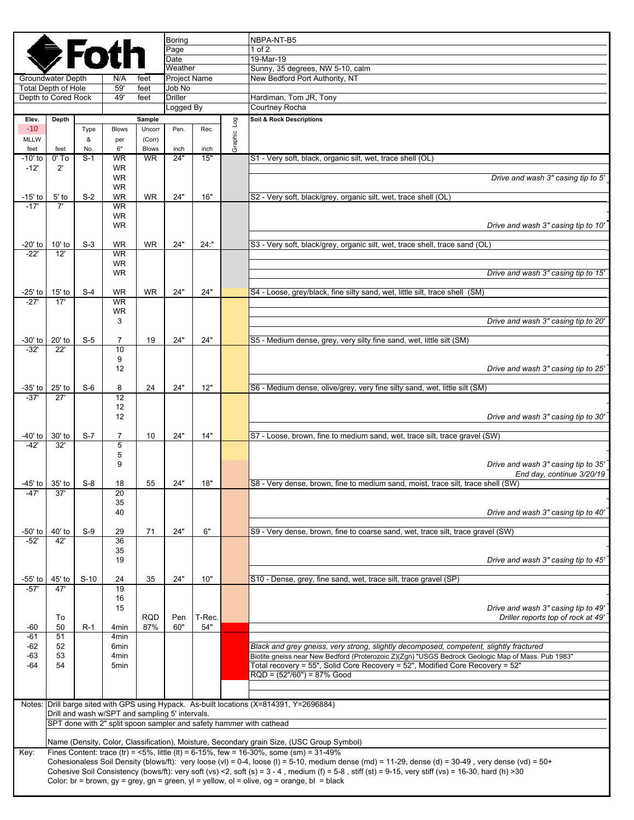|                                                   |                                                                     | <b>De Fotl</b> |                                                 |                  | <b>Boring</b><br>Page    |        |         | NBPA-NT-B5<br>$1$ of $2$                                                                                                                                                                                                                              |  |  |
|---------------------------------------------------|---------------------------------------------------------------------|----------------|-------------------------------------------------|------------------|--------------------------|--------|---------|-------------------------------------------------------------------------------------------------------------------------------------------------------------------------------------------------------------------------------------------------------|--|--|
|                                                   |                                                                     |                |                                                 |                  | Date<br>Weather          |        |         | 19-Mar-19<br>Sunny, 35 degrees, NW 5-10, calm                                                                                                                                                                                                         |  |  |
|                                                   | Groundwater Depth                                                   |                | N/A                                             | feet             | Project Name             |        |         | New Bedford Port Authority, NT                                                                                                                                                                                                                        |  |  |
| <b>Total Depth of Hole</b><br>Depth to Cored Rock |                                                                     |                | 59'<br>49'                                      | feet<br>feet     | Job No<br><b>Driller</b> |        |         | Hardiman, Tom JR, Tony                                                                                                                                                                                                                                |  |  |
|                                                   |                                                                     |                |                                                 |                  | Logged By                |        |         | Courtney Rocha                                                                                                                                                                                                                                        |  |  |
| Elev.                                             | Depth                                                               |                |                                                 | Sample           |                          |        | pol     | Soil & Rock Descriptions                                                                                                                                                                                                                              |  |  |
| $-10$<br><b>MLLW</b>                              |                                                                     | Type<br>&      | <b>Blows</b><br>per                             | Uncorr<br>(Corr) | Pen.                     | Rec.   | Graphic |                                                                                                                                                                                                                                                       |  |  |
| feet                                              | feet                                                                | No.            | 6"                                              | <b>Blows</b>     | inch                     | inch   |         |                                                                                                                                                                                                                                                       |  |  |
| -10' to<br>$-12'$                                 | $0'$ To<br>$2^{\prime}$                                             | $S-1$          | <b>WR</b><br><b>WR</b>                          | <b>WR</b>        | 24"                      | 15"    |         | S1 - Very soft, black, organic silt, wet, trace shell (OL)                                                                                                                                                                                            |  |  |
|                                                   |                                                                     |                | <b>WR</b><br><b>WR</b>                          |                  |                          |        |         | Drive and wash 3" casing tip to 5'                                                                                                                                                                                                                    |  |  |
| -15' to                                           | $5'$ to                                                             | $S-2$          | <b>WR</b>                                       | <b>WR</b>        | 24"                      | 16"    |         | S2 - Very soft, black/grey, organic silt, wet, trace shell (OL)                                                                                                                                                                                       |  |  |
| $-17'$                                            | 7'                                                                  |                | <b>WR</b><br><b>WR</b><br><b>WR</b>             |                  |                          |        |         | Drive and wash 3" casing tip to 10'                                                                                                                                                                                                                   |  |  |
| -20' to                                           | $10'$ to                                                            | $S-3$          | <b>WR</b>                                       | WR               | 24"                      | 24:"   |         | S3 - Very soft, black/grey, organic silt, wet, trace shell, trace sand (OL)                                                                                                                                                                           |  |  |
| $-22"$                                            | $\overline{12}$                                                     |                | <b>WR</b><br><b>WR</b>                          |                  |                          |        |         |                                                                                                                                                                                                                                                       |  |  |
|                                                   |                                                                     |                | <b>WR</b>                                       |                  |                          |        |         | Drive and wash 3" casing tip to 15'                                                                                                                                                                                                                   |  |  |
|                                                   |                                                                     |                |                                                 |                  |                          |        |         |                                                                                                                                                                                                                                                       |  |  |
| -25' to<br>$-27'$                                 | $15'$ to<br>17'                                                     | $S-4$          | <b>WR</b><br><b>WR</b>                          | <b>WR</b>        | 24"                      | 24"    |         | S4 - Loose, grey/black, fine silty sand, wet, little silt, trace shell (SM)                                                                                                                                                                           |  |  |
|                                                   |                                                                     |                | WR                                              |                  |                          |        |         |                                                                                                                                                                                                                                                       |  |  |
|                                                   |                                                                     |                | 3                                               |                  |                          |        |         | Drive and wash 3" casing tip to 20"                                                                                                                                                                                                                   |  |  |
| -30' to                                           | 20' to                                                              | $S-5$          | $\overline{7}$                                  | 19               | 24"                      | 24"    |         | S5 - Medium dense, grey, very silty fine sand, wet, little silt (SM)                                                                                                                                                                                  |  |  |
| $-32'$                                            | 22'                                                                 |                | 10                                              |                  |                          |        |         |                                                                                                                                                                                                                                                       |  |  |
|                                                   |                                                                     |                | 9<br>12                                         |                  |                          |        |         | Drive and wash 3" casing tip to 25'                                                                                                                                                                                                                   |  |  |
|                                                   |                                                                     |                |                                                 |                  |                          |        |         |                                                                                                                                                                                                                                                       |  |  |
| -35' to<br>$-37'$                                 | $25'$ to<br>27'                                                     | $S-6$          | 8<br>12                                         | 24               | 24"                      | 12"    |         | S6 - Medium dense, olive/grey, very fine silty sand, wet, little silt (SM)                                                                                                                                                                            |  |  |
|                                                   |                                                                     |                | 12                                              |                  |                          |        |         |                                                                                                                                                                                                                                                       |  |  |
|                                                   |                                                                     |                | 12                                              |                  |                          |        |         | Drive and wash 3" casing tip to 30'                                                                                                                                                                                                                   |  |  |
| -40' to                                           | 30' to                                                              | $S-7$          | $\overline{7}$                                  | 10               | 24"                      | 14"    |         | S7 - Loose, brown, fine to medium sand, wet, trace silt, trace gravel (SW)                                                                                                                                                                            |  |  |
| $-42'$                                            | 32'                                                                 |                | 5<br>5                                          |                  |                          |        |         |                                                                                                                                                                                                                                                       |  |  |
|                                                   |                                                                     |                | 9                                               |                  |                          |        |         | Drive and wash 3" casing tip to 35'                                                                                                                                                                                                                   |  |  |
| -45' to l                                         | $35'$ to                                                            | $S-8$          | 18                                              | 55               | 24"                      | 18"    |         | End day, continue 3/20/19<br>S8 - Very dense, brown, fine to medium sand, moist, trace silt, trace shell (SW)                                                                                                                                         |  |  |
| -47'                                              | 37'                                                                 |                | 20                                              |                  |                          |        |         |                                                                                                                                                                                                                                                       |  |  |
|                                                   |                                                                     |                | 35                                              |                  |                          |        |         |                                                                                                                                                                                                                                                       |  |  |
|                                                   |                                                                     |                | 40                                              |                  |                          |        |         | Drive and wash 3" casing tip to 40'                                                                                                                                                                                                                   |  |  |
| $-50'$ to                                         | 40' to                                                              | $S-9$          | 29                                              | 71               | 24"                      | 6"     |         | S9 - Very dense, brown, fine to coarse sand, wet, trace silt, trace gravel (SW)                                                                                                                                                                       |  |  |
| $-52'$                                            | 42'                                                                 |                | $\overline{36}$<br>35                           |                  |                          |        |         |                                                                                                                                                                                                                                                       |  |  |
|                                                   |                                                                     |                | 19                                              |                  |                          |        |         | Drive and wash 3" casing tip to 45'                                                                                                                                                                                                                   |  |  |
| -55' to                                           | 45' to                                                              | $S-10$         | 24                                              | 35               | 24"                      | 10"    |         | S10 - Dense, grey, fine sand, wet, trace silt, trace gravel (SP)                                                                                                                                                                                      |  |  |
| $-57'$                                            | 47'                                                                 |                | 19                                              |                  |                          |        |         |                                                                                                                                                                                                                                                       |  |  |
|                                                   |                                                                     |                | 16<br>15                                        |                  |                          |        |         | Drive and wash 3" casing tip to 49'                                                                                                                                                                                                                   |  |  |
|                                                   | To                                                                  |                |                                                 | <b>RQD</b>       | Pen                      | T-Rec. |         | Driller reports top of rock at 49'                                                                                                                                                                                                                    |  |  |
| -60<br>$-61$                                      | 50<br>51                                                            | $R-1$          | 4 <sub>min</sub><br>4 <sub>min</sub>            | 87%              | 60"                      | 54"    |         |                                                                                                                                                                                                                                                       |  |  |
| -62                                               | 52                                                                  |                | 6min                                            |                  |                          |        |         | Black and grey gneiss, very strong, slightly decomposed, competent, slightly fractured                                                                                                                                                                |  |  |
| -63                                               | 53                                                                  |                | 4min                                            |                  |                          |        |         | Biotite gneiss near New Bedford (Proterozoic Z)(Zgn) "USGS Bedrock Geologic Map of Mass. Pub 1983"                                                                                                                                                    |  |  |
| -64                                               | 54                                                                  |                | 5min                                            |                  |                          |        |         | Total recovery = 55", Solid Core Recovery = 52", Modified Core Recovery = 52"<br>$RQD = (52*/60") = 87%$ Good                                                                                                                                         |  |  |
|                                                   |                                                                     |                |                                                 |                  |                          |        |         |                                                                                                                                                                                                                                                       |  |  |
|                                                   |                                                                     |                |                                                 |                  |                          |        |         | Notes: Drill barge sited with GPS using Hypack. As-built locations (X=814391, Y=2696884)                                                                                                                                                              |  |  |
|                                                   |                                                                     |                | Drill and wash w/SPT and sampling 5' intervals. |                  |                          |        |         |                                                                                                                                                                                                                                                       |  |  |
|                                                   | SPT done with 2" split spoon sampler and safety hammer with cathead |                |                                                 |                  |                          |        |         |                                                                                                                                                                                                                                                       |  |  |
|                                                   |                                                                     |                |                                                 |                  |                          |        |         | Name (Density, Color, Classification), Moisture, Secondary grain Size, (USC Group Symbol)                                                                                                                                                             |  |  |
| Key:                                              |                                                                     |                |                                                 |                  |                          |        |         | Fines Content: trace (tr) = $\leq 5\%$ , little (lt) = 6-15%, few = 16-30%, some (sm) = 31-49%<br>Cohesionaless Soil Density (blows/ft): very loose (vl) = 0-4, loose (l) = 5-10, medium dense (md) = 11-29, dense (d) = 30-49, very dense (vd) = 50+ |  |  |
|                                                   |                                                                     |                |                                                 |                  |                          |        |         | Cohesive Soil Consistency (bows/ft): very soft (vs) <2, soft (s) = $3 - 4$ , medium (f) = $5 - 8$ , stiff (st) = $9 - 15$ , very stiff (vs) = 16-30, hard (h) > 30                                                                                    |  |  |
|                                                   |                                                                     |                |                                                 |                  |                          |        |         | Color: br = brown, gy = grey, gn = green, yl = yellow, ol = olive, og = orange, bl = black                                                                                                                                                            |  |  |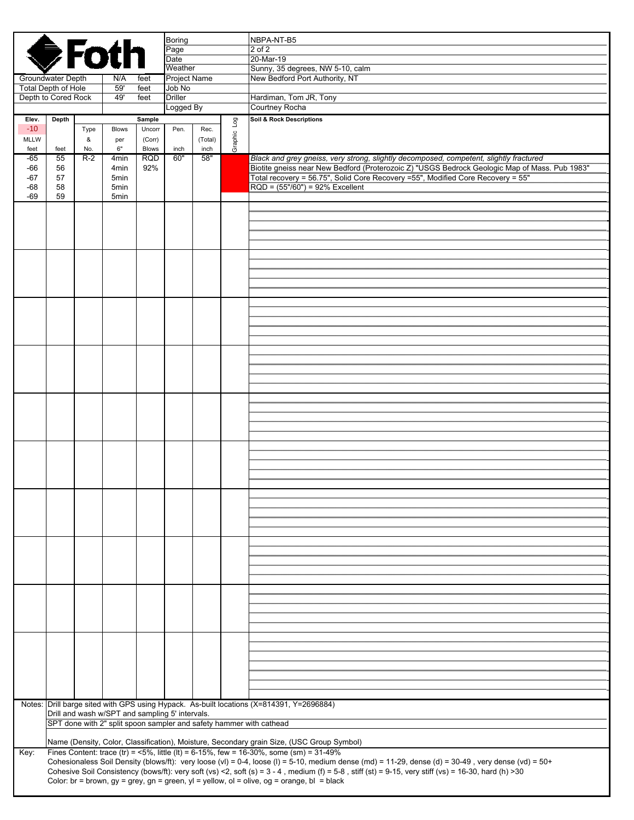|                            |          |           | <b>GFoth</b>                                    |                        | <b>Boring</b>       |                 |             | NBPA-NT-B5                                                                                                                                                                                                                                                            |
|----------------------------|----------|-----------|-------------------------------------------------|------------------------|---------------------|-----------------|-------------|-----------------------------------------------------------------------------------------------------------------------------------------------------------------------------------------------------------------------------------------------------------------------|
|                            |          |           |                                                 |                        | Page                |                 |             | 2 of 2                                                                                                                                                                                                                                                                |
|                            |          |           |                                                 |                        | Date<br>Weather     |                 |             | 20-Mar-19<br>Sunny, 35 degrees, NW 5-10, calm                                                                                                                                                                                                                         |
| Groundwater Depth          |          |           | N/A                                             | feet                   | <b>Project Name</b> |                 |             | New Bedford Port Authority, NT                                                                                                                                                                                                                                        |
| <b>Total Depth of Hole</b> |          |           | 59'                                             | feet                   | Job No              |                 |             |                                                                                                                                                                                                                                                                       |
| Depth to Cored Rock        |          |           | 49'                                             | feet                   | <b>Driller</b>      |                 |             | Hardiman, Tom JR, Tony                                                                                                                                                                                                                                                |
|                            |          |           |                                                 |                        | Logged By           |                 |             | Courtney Rocha                                                                                                                                                                                                                                                        |
| Elev.                      | Depth    |           |                                                 | Sample                 |                     |                 |             | Soil & Rock Descriptions                                                                                                                                                                                                                                              |
| $-10$<br><b>MLLW</b>       |          | Type<br>& | <b>Blows</b>                                    | Uncorr                 | Pen.                | Rec.<br>(Total) | Graphic Log |                                                                                                                                                                                                                                                                       |
| feet                       | feet     | No.       | per<br>6"                                       | (Corr)<br><b>Blows</b> | inch                | inch            |             |                                                                                                                                                                                                                                                                       |
| -65                        | 55       | $R-2$     | 4 <sub>min</sub>                                | <b>RQD</b>             | 60"                 | 58"             |             | Black and grey gneiss, very strong, slightly decomposed, competent, slightly fractured                                                                                                                                                                                |
| -66                        | 56       |           | 4 <sub>min</sub>                                | 92%                    |                     |                 |             | Biotite gneiss near New Bedford (Proterozoic Z) "USGS Bedrock Geologic Map of Mass. Pub 1983"                                                                                                                                                                         |
| $-67$                      | 57       |           | 5min                                            |                        |                     |                 |             | Total recovery = 56.75", Solid Core Recovery =55", Modified Core Recovery = 55"                                                                                                                                                                                       |
| $-68$<br>$-69$             | 58<br>59 |           | 5min<br>5min                                    |                        |                     |                 |             | $RQD = (55*/60") = 92%$ Excellent                                                                                                                                                                                                                                     |
|                            |          |           |                                                 |                        |                     |                 |             |                                                                                                                                                                                                                                                                       |
|                            |          |           |                                                 |                        |                     |                 |             |                                                                                                                                                                                                                                                                       |
|                            |          |           |                                                 |                        |                     |                 |             |                                                                                                                                                                                                                                                                       |
|                            |          |           |                                                 |                        |                     |                 |             |                                                                                                                                                                                                                                                                       |
|                            |          |           |                                                 |                        |                     |                 |             |                                                                                                                                                                                                                                                                       |
|                            |          |           |                                                 |                        |                     |                 |             |                                                                                                                                                                                                                                                                       |
|                            |          |           |                                                 |                        |                     |                 |             |                                                                                                                                                                                                                                                                       |
|                            |          |           |                                                 |                        |                     |                 |             |                                                                                                                                                                                                                                                                       |
|                            |          |           |                                                 |                        |                     |                 |             |                                                                                                                                                                                                                                                                       |
|                            |          |           |                                                 |                        |                     |                 |             |                                                                                                                                                                                                                                                                       |
|                            |          |           |                                                 |                        |                     |                 |             |                                                                                                                                                                                                                                                                       |
|                            |          |           |                                                 |                        |                     |                 |             |                                                                                                                                                                                                                                                                       |
|                            |          |           |                                                 |                        |                     |                 |             |                                                                                                                                                                                                                                                                       |
|                            |          |           |                                                 |                        |                     |                 |             |                                                                                                                                                                                                                                                                       |
|                            |          |           |                                                 |                        |                     |                 |             |                                                                                                                                                                                                                                                                       |
|                            |          |           |                                                 |                        |                     |                 |             |                                                                                                                                                                                                                                                                       |
|                            |          |           |                                                 |                        |                     |                 |             |                                                                                                                                                                                                                                                                       |
|                            |          |           |                                                 |                        |                     |                 |             |                                                                                                                                                                                                                                                                       |
|                            |          |           |                                                 |                        |                     |                 |             |                                                                                                                                                                                                                                                                       |
|                            |          |           |                                                 |                        |                     |                 |             |                                                                                                                                                                                                                                                                       |
|                            |          |           |                                                 |                        |                     |                 |             |                                                                                                                                                                                                                                                                       |
|                            |          |           |                                                 |                        |                     |                 |             |                                                                                                                                                                                                                                                                       |
|                            |          |           |                                                 |                        |                     |                 |             |                                                                                                                                                                                                                                                                       |
|                            |          |           |                                                 |                        |                     |                 |             |                                                                                                                                                                                                                                                                       |
|                            |          |           |                                                 |                        |                     |                 |             |                                                                                                                                                                                                                                                                       |
|                            |          |           |                                                 |                        |                     |                 |             |                                                                                                                                                                                                                                                                       |
|                            |          |           |                                                 |                        |                     |                 |             |                                                                                                                                                                                                                                                                       |
|                            |          |           |                                                 |                        |                     |                 |             |                                                                                                                                                                                                                                                                       |
|                            |          |           |                                                 |                        |                     |                 |             |                                                                                                                                                                                                                                                                       |
|                            |          |           |                                                 |                        |                     |                 |             |                                                                                                                                                                                                                                                                       |
|                            |          |           |                                                 |                        |                     |                 |             |                                                                                                                                                                                                                                                                       |
|                            |          |           |                                                 |                        |                     |                 |             |                                                                                                                                                                                                                                                                       |
|                            |          |           |                                                 |                        |                     |                 |             |                                                                                                                                                                                                                                                                       |
|                            |          |           |                                                 |                        |                     |                 |             |                                                                                                                                                                                                                                                                       |
|                            |          |           |                                                 |                        |                     |                 |             |                                                                                                                                                                                                                                                                       |
|                            |          |           |                                                 |                        |                     |                 |             |                                                                                                                                                                                                                                                                       |
|                            |          |           |                                                 |                        |                     |                 |             |                                                                                                                                                                                                                                                                       |
|                            |          |           |                                                 |                        |                     |                 |             |                                                                                                                                                                                                                                                                       |
|                            |          |           |                                                 |                        |                     |                 |             |                                                                                                                                                                                                                                                                       |
|                            |          |           |                                                 |                        |                     |                 |             |                                                                                                                                                                                                                                                                       |
|                            |          |           |                                                 |                        |                     |                 |             |                                                                                                                                                                                                                                                                       |
|                            |          |           |                                                 |                        |                     |                 |             |                                                                                                                                                                                                                                                                       |
|                            |          |           |                                                 |                        |                     |                 |             | Notes: Drill barge sited with GPS using Hypack. As-built locations (X=814391, Y=2696884)                                                                                                                                                                              |
|                            |          |           | Drill and wash w/SPT and sampling 5' intervals. |                        |                     |                 |             |                                                                                                                                                                                                                                                                       |
|                            |          |           |                                                 |                        |                     |                 |             | SPT done with 2" split spoon sampler and safety hammer with cathead                                                                                                                                                                                                   |
|                            |          |           |                                                 |                        |                     |                 |             | Name (Density, Color, Classification), Moisture, Secondary grain Size, (USC Group Symbol)                                                                                                                                                                             |
| Key:                       |          |           |                                                 |                        |                     |                 |             | Fines Content: trace (tr) = <5%, little (lt) = 6-15%, few = 16-30%, some (sm) = $31-49\%$                                                                                                                                                                             |
|                            |          |           |                                                 |                        |                     |                 |             | Cohesionaless Soil Density (blows/ft): very loose (vl) = 0-4, loose (l) = 5-10, medium dense (md) = 11-29, dense (d) = 30-49, very dense (vd) = 50+                                                                                                                   |
|                            |          |           |                                                 |                        |                     |                 |             | Cohesive Soil Consistency (bows/ft): very soft (vs) <2, soft (s) = $3 - 4$ , medium (f) = $5 - 8$ , stiff (st) = $9 - 15$ , very stiff (vs) = $16 - 30$ , hard (h) > 30<br>Color: br = brown, gy = grey, gn = green, yl = yellow, ol = olive, og = orange, bl = black |
|                            |          |           |                                                 |                        |                     |                 |             |                                                                                                                                                                                                                                                                       |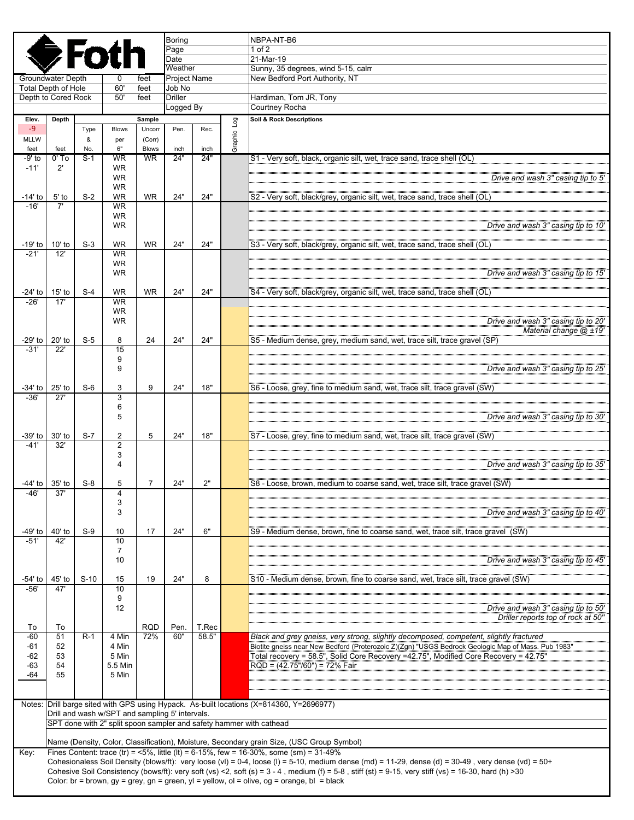|                   |                                                                     |              |                                                 |                           | Boring               |                |         | NBPA-NT-B6                                                                                                                                                                                                                                       |  |  |
|-------------------|---------------------------------------------------------------------|--------------|-------------------------------------------------|---------------------------|----------------------|----------------|---------|--------------------------------------------------------------------------------------------------------------------------------------------------------------------------------------------------------------------------------------------------|--|--|
|                   |                                                                     |              | <b>●Fotr</b>                                    |                           | Page<br>Date         |                |         | $1$ of $2$<br>21-Mar-19                                                                                                                                                                                                                          |  |  |
|                   |                                                                     |              |                                                 |                           | Weather              |                |         | Sunny, 35 degrees, wind 5-15, calm                                                                                                                                                                                                               |  |  |
|                   | Groundwater Depth                                                   |              | 0                                               | feet                      | Project Name         |                |         | New Bedford Port Authority, NT                                                                                                                                                                                                                   |  |  |
|                   | <b>Total Depth of Hole</b>                                          |              | 60'                                             | feet                      | Job No               |                |         |                                                                                                                                                                                                                                                  |  |  |
|                   | Depth to Cored Rock                                                 |              | 50'                                             | feet                      | Driller<br>Logged By |                |         | Hardiman, Tom JR, Tony<br>Courtney Rocha                                                                                                                                                                                                         |  |  |
| Elev.             | Depth                                                               |              |                                                 | Sample                    |                      |                |         | Soil & Rock Descriptions                                                                                                                                                                                                                         |  |  |
| $-9$              |                                                                     | Type         | <b>Blows</b>                                    | Uncorr                    | Pen.                 | Rec.           | pol     |                                                                                                                                                                                                                                                  |  |  |
| <b>MLLW</b>       |                                                                     | &            | per                                             | (Corr)                    |                      |                | Graphic |                                                                                                                                                                                                                                                  |  |  |
| feet<br>-9' to    | feet<br>$0'$ To                                                     | No.<br>$S-1$ | 6"<br><b>WR</b>                                 | <b>Blows</b><br><b>WR</b> | inch<br>24"          | inch<br>24"    |         | S1 - Very soft, black, organic silt, wet, trace sand, trace shell (OL)                                                                                                                                                                           |  |  |
| $-11'$            | $2^{\prime}$                                                        |              | <b>WR</b>                                       |                           |                      |                |         |                                                                                                                                                                                                                                                  |  |  |
|                   |                                                                     |              | <b>WR</b>                                       |                           |                      |                |         | Drive and wash 3" casing tip to 5'                                                                                                                                                                                                               |  |  |
|                   |                                                                     | $S-2$        | <b>WR</b><br><b>WR</b>                          | <b>WR</b>                 | 24"                  | 24"            |         |                                                                                                                                                                                                                                                  |  |  |
| -14' to<br>$-16'$ | $5'$ to<br>7'                                                       |              | <b>WR</b>                                       |                           |                      |                |         | S2 - Very soft, black/grey, organic silt, wet, trace sand, trace shell (OL)                                                                                                                                                                      |  |  |
|                   |                                                                     |              | <b>WR</b>                                       |                           |                      |                |         |                                                                                                                                                                                                                                                  |  |  |
|                   |                                                                     |              | <b>WR</b>                                       |                           |                      |                |         | Drive and wash 3" casing tip to 10"                                                                                                                                                                                                              |  |  |
| -19' to           | $10'$ to                                                            | $S-3$        | <b>WR</b>                                       | <b>WR</b>                 | 24"                  | 24"            |         | S3 - Very soft, black/grey, organic silt, wet, trace sand, trace shell (OL)                                                                                                                                                                      |  |  |
| $-21'$            | 12'                                                                 |              | <b>WR</b>                                       |                           |                      |                |         |                                                                                                                                                                                                                                                  |  |  |
|                   |                                                                     |              | <b>WR</b>                                       |                           |                      |                |         |                                                                                                                                                                                                                                                  |  |  |
|                   |                                                                     |              | <b>WR</b>                                       |                           |                      |                |         | Drive and wash 3" casing tip to 15"                                                                                                                                                                                                              |  |  |
| -24' to           | $15'$ to                                                            | $S-4$        | <b>WR</b>                                       | <b>WR</b>                 | 24"                  | 24"            |         | S4 - Very soft, black/grey, organic silt, wet, trace sand, trace shell (OL)                                                                                                                                                                      |  |  |
| $-26'$            | 17'                                                                 |              | <b>WR</b>                                       |                           |                      |                |         |                                                                                                                                                                                                                                                  |  |  |
|                   |                                                                     |              | <b>WR</b><br><b>WR</b>                          |                           |                      |                |         | Drive and wash 3" casing tip to 20"                                                                                                                                                                                                              |  |  |
|                   |                                                                     |              |                                                 |                           |                      |                |         | Material change @ ±19'                                                                                                                                                                                                                           |  |  |
| $-29'$ to         | 20' to                                                              | $S-5$        | 8                                               | 24                        | 24"                  | 24"            |         | S5 - Medium dense, grey, medium sand, wet, trace silt, trace gravel (SP)                                                                                                                                                                         |  |  |
| $-31'$            | 22'                                                                 |              | 15<br>9                                         |                           |                      |                |         |                                                                                                                                                                                                                                                  |  |  |
|                   |                                                                     |              | 9                                               |                           |                      |                |         | Drive and wash 3" casing tip to 25'                                                                                                                                                                                                              |  |  |
|                   |                                                                     |              |                                                 |                           |                      |                |         |                                                                                                                                                                                                                                                  |  |  |
| $-34'$ to<br>-36' | 25' to<br>27'                                                       | $S-6$        | 3                                               | 9                         | 24"                  | 18"            |         | S6 - Loose, grey, fine to medium sand, wet, trace silt, trace gravel (SW)                                                                                                                                                                        |  |  |
|                   |                                                                     |              | 3<br>6                                          |                           |                      |                |         |                                                                                                                                                                                                                                                  |  |  |
|                   |                                                                     |              | 5                                               |                           |                      |                |         | Drive and wash 3" casing tip to 30'                                                                                                                                                                                                              |  |  |
|                   |                                                                     |              |                                                 |                           |                      |                |         |                                                                                                                                                                                                                                                  |  |  |
| -39' to<br>$-41'$ | 30' to<br>32'                                                       | $S-7$        | 2<br>$\overline{2}$                             | 5                         | 24"                  | 18"            |         | S7 - Loose, grey, fine to medium sand, wet, trace silt, trace gravel (SW)                                                                                                                                                                        |  |  |
|                   |                                                                     |              | 3                                               |                           |                      |                |         |                                                                                                                                                                                                                                                  |  |  |
|                   |                                                                     |              | 4                                               |                           |                      |                |         | Drive and wash 3" casing tip to 35'                                                                                                                                                                                                              |  |  |
| -44' to           | $35'$ to                                                            | $S-8$        | 5                                               | 7                         | 24"                  | 2"             |         | S8 - Loose, brown, medium to coarse sand, wet, trace silt, trace gravel (SW)                                                                                                                                                                     |  |  |
| -46'              | 37'                                                                 |              | 4                                               |                           |                      |                |         |                                                                                                                                                                                                                                                  |  |  |
|                   |                                                                     |              | 3                                               |                           |                      |                |         |                                                                                                                                                                                                                                                  |  |  |
|                   |                                                                     |              | 3                                               |                           |                      |                |         | Drive and wash 3" casing tip to 40'                                                                                                                                                                                                              |  |  |
| $-49'$ to         | 40' to                                                              | $S-9$        | 10                                              | 17                        | 24"                  | 6"             |         | S9 - Medium dense, brown, fine to coarse sand, wet, trace silt, trace gravel (SW)                                                                                                                                                                |  |  |
| $-51'$            | 42'                                                                 |              | 10                                              |                           |                      |                |         |                                                                                                                                                                                                                                                  |  |  |
|                   |                                                                     |              | $\overline{7}$<br>10                            |                           |                      |                |         | Drive and wash 3" casing tip to 45'                                                                                                                                                                                                              |  |  |
|                   |                                                                     |              |                                                 |                           |                      |                |         |                                                                                                                                                                                                                                                  |  |  |
| -54' to           | 45' to                                                              | $S-10$       | 15                                              | 19                        | 24"                  | 8              |         | S10 - Medium dense, brown, fine to coarse sand, wet, trace silt, trace gravel (SW)                                                                                                                                                               |  |  |
| $-56'$            | 47'                                                                 |              | 10<br>9                                         |                           |                      |                |         |                                                                                                                                                                                                                                                  |  |  |
|                   |                                                                     |              | $12 \overline{ }$                               |                           |                      |                |         | Drive and wash 3" casing tip to 50'                                                                                                                                                                                                              |  |  |
|                   |                                                                     |              |                                                 |                           |                      |                |         | Driller reports top of rock at 50"                                                                                                                                                                                                               |  |  |
| To<br>$-60$       | To<br>51                                                            | $R-1$        | 4 Min                                           | <b>RQD</b><br>72%         | Pen.<br>60"          | T.Rec<br>58.5" |         | Black and grey gneiss, very strong, slightly decomposed, competent, slightly fractured                                                                                                                                                           |  |  |
| -61               | 52                                                                  |              | 4 Min                                           |                           |                      |                |         | Biotite gneiss near New Bedford (Proterozoic Z)(Zgn) "USGS Bedrock Geologic Map of Mass. Pub 1983"                                                                                                                                               |  |  |
| -62               | 53                                                                  |              | 5 Min                                           |                           |                      |                |         | Total recovery = 58.5", Solid Core Recovery =42.75", Modified Core Recovery = 42.75"                                                                                                                                                             |  |  |
| $-63$<br>$-64$    | 54<br>55                                                            |              | 5.5 Min<br>5 Min                                |                           |                      |                |         | RQD = (42.75"/60") = 72% Fair                                                                                                                                                                                                                    |  |  |
|                   |                                                                     |              |                                                 |                           |                      |                |         |                                                                                                                                                                                                                                                  |  |  |
|                   |                                                                     |              |                                                 |                           |                      |                |         |                                                                                                                                                                                                                                                  |  |  |
|                   |                                                                     |              |                                                 |                           |                      |                |         | Notes: Drill barge sited with GPS using Hypack. As-built locations (X=814360, Y=2696977)                                                                                                                                                         |  |  |
|                   |                                                                     |              | Drill and wash w/SPT and sampling 5' intervals. |                           |                      |                |         |                                                                                                                                                                                                                                                  |  |  |
|                   | SPT done with 2" split spoon sampler and safety hammer with cathead |              |                                                 |                           |                      |                |         |                                                                                                                                                                                                                                                  |  |  |
|                   |                                                                     |              |                                                 |                           |                      |                |         | Name (Density, Color, Classification), Moisture, Secondary grain Size, (USC Group Symbol)                                                                                                                                                        |  |  |
| Key:              |                                                                     |              |                                                 |                           |                      |                |         | Fines Content: trace (tr) = $5\%$ , little (lt) = 6-15%, few = 16-30%, some (sm) = 31-49%<br>Cohesionaless Soil Density (blows/ft): very loose (vl) = 0-4, loose (l) = 5-10, medium dense (md) = 11-29, dense (d) = 30-49, very dense (vd) = 50+ |  |  |
|                   |                                                                     |              |                                                 |                           |                      |                |         | Cohesive Soil Consistency (bows/ft): very soft (vs) <2, soft (s) = $3 - 4$ , medium (f) = $5 - 8$ , stiff (st) = $9 - 15$ , very stiff (vs) = 16-30, hard (h) > 30                                                                               |  |  |
|                   |                                                                     |              |                                                 |                           |                      |                |         | Color: br = brown, gy = grey, gn = green, yl = yellow, ol = olive, og = orange, bl = black                                                                                                                                                       |  |  |
|                   |                                                                     |              |                                                 |                           |                      |                |         |                                                                                                                                                                                                                                                  |  |  |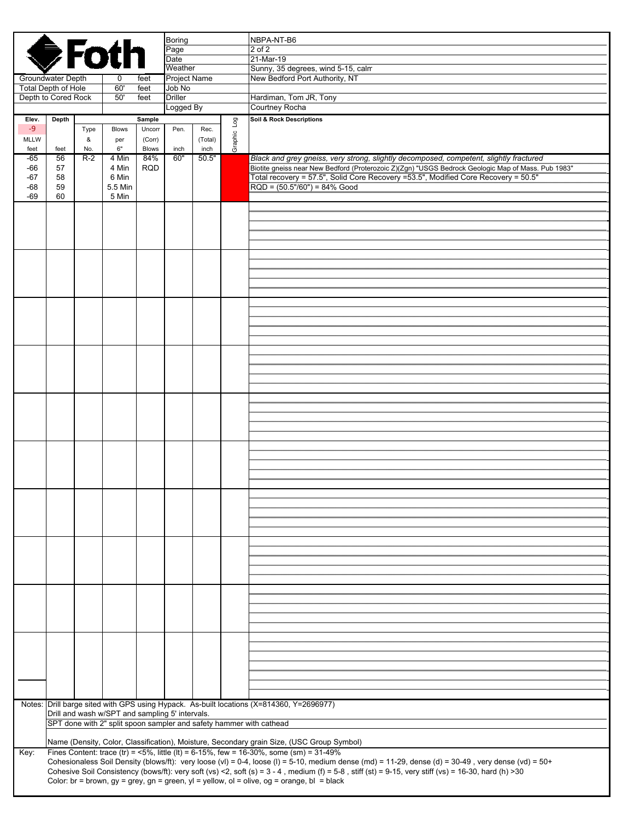| <b>S</b> Foth                  |                                                                     |          |                                                 |                        | <b>Boring</b><br>Page<br>Date  |                 |           | NBPA-NT-B6<br>2 of 2<br>21-Mar-19                                                                                                                                                                                                                                                                                              |  |
|--------------------------------|---------------------------------------------------------------------|----------|-------------------------------------------------|------------------------|--------------------------------|-----------------|-----------|--------------------------------------------------------------------------------------------------------------------------------------------------------------------------------------------------------------------------------------------------------------------------------------------------------------------------------|--|
| Groundwater Depth              |                                                                     |          |                                                 |                        | Weather<br><b>Project Name</b> |                 |           | Sunny, 35 degrees, wind 5-15, calm<br>New Bedford Port Authority, NT                                                                                                                                                                                                                                                           |  |
| <b>Total Depth of Hole</b>     |                                                                     |          | 0<br>60'                                        | feet<br>feet           | Job No                         | Logged By       |           |                                                                                                                                                                                                                                                                                                                                |  |
| Depth to Cored Rock            |                                                                     |          | 50'                                             | feet                   | <b>Driller</b>                 |                 |           | Hardiman, Tom JR, Tony<br>Courtney Rocha                                                                                                                                                                                                                                                                                       |  |
| Elev.                          | Depth                                                               |          |                                                 | Sample                 |                                |                 |           | <b>Soil &amp; Rock Descriptions</b>                                                                                                                                                                                                                                                                                            |  |
| $-9$                           |                                                                     | Type     | <b>Blows</b>                                    | Uncorr                 | Pen.                           | Rec.            | Log       |                                                                                                                                                                                                                                                                                                                                |  |
| <b>MLLW</b><br>feet            | feet                                                                | &<br>No. | per<br>6"                                       | (Corr)<br><b>Blows</b> | inch                           | (Total)<br>inch | Graphic I |                                                                                                                                                                                                                                                                                                                                |  |
| -65                            | 56                                                                  | $R-2$    | 4 Min                                           | 84%                    | 60"                            | 50.5"           |           | Black and grey gneiss, very strong, slightly decomposed, competent, slightly fractured                                                                                                                                                                                                                                         |  |
| -66<br>$-67$<br>$-68$<br>$-69$ | 57<br>58<br>59<br>60                                                |          | 4 Min<br>6 Min<br>5.5 Min<br>5 Min              | <b>RQD</b>             |                                |                 |           | Biotite gneiss near New Bedford (Proterozoic Z)(Zgn) "USGS Bedrock Geologic Map of Mass. Pub 1983"<br>Total recovery = 57.5", Solid Core Recovery =53.5", Modified Core Recovery = 50.5"<br>$RQD = (50.5" / 60") = 84% Good$                                                                                                   |  |
|                                |                                                                     |          |                                                 |                        |                                |                 |           |                                                                                                                                                                                                                                                                                                                                |  |
|                                |                                                                     |          |                                                 |                        |                                |                 |           |                                                                                                                                                                                                                                                                                                                                |  |
|                                |                                                                     |          |                                                 |                        |                                |                 |           |                                                                                                                                                                                                                                                                                                                                |  |
|                                |                                                                     |          |                                                 |                        |                                |                 |           |                                                                                                                                                                                                                                                                                                                                |  |
|                                |                                                                     |          |                                                 |                        |                                |                 |           |                                                                                                                                                                                                                                                                                                                                |  |
|                                |                                                                     |          |                                                 |                        |                                |                 |           |                                                                                                                                                                                                                                                                                                                                |  |
|                                |                                                                     |          |                                                 |                        |                                |                 |           |                                                                                                                                                                                                                                                                                                                                |  |
|                                |                                                                     |          |                                                 |                        |                                |                 |           |                                                                                                                                                                                                                                                                                                                                |  |
|                                |                                                                     |          |                                                 |                        |                                |                 |           |                                                                                                                                                                                                                                                                                                                                |  |
|                                |                                                                     |          |                                                 |                        |                                |                 |           |                                                                                                                                                                                                                                                                                                                                |  |
|                                |                                                                     |          |                                                 |                        |                                |                 |           |                                                                                                                                                                                                                                                                                                                                |  |
|                                |                                                                     |          |                                                 |                        |                                |                 |           |                                                                                                                                                                                                                                                                                                                                |  |
|                                |                                                                     |          |                                                 |                        |                                |                 |           |                                                                                                                                                                                                                                                                                                                                |  |
|                                |                                                                     |          |                                                 |                        |                                |                 |           |                                                                                                                                                                                                                                                                                                                                |  |
|                                |                                                                     |          |                                                 |                        |                                |                 |           |                                                                                                                                                                                                                                                                                                                                |  |
|                                |                                                                     |          |                                                 |                        |                                |                 |           |                                                                                                                                                                                                                                                                                                                                |  |
|                                |                                                                     |          |                                                 |                        |                                |                 |           |                                                                                                                                                                                                                                                                                                                                |  |
|                                |                                                                     |          |                                                 |                        |                                |                 |           |                                                                                                                                                                                                                                                                                                                                |  |
|                                |                                                                     |          |                                                 |                        |                                |                 |           |                                                                                                                                                                                                                                                                                                                                |  |
|                                |                                                                     |          |                                                 |                        |                                |                 |           |                                                                                                                                                                                                                                                                                                                                |  |
|                                |                                                                     |          |                                                 |                        |                                |                 |           |                                                                                                                                                                                                                                                                                                                                |  |
|                                |                                                                     |          |                                                 |                        |                                |                 |           |                                                                                                                                                                                                                                                                                                                                |  |
|                                |                                                                     |          |                                                 |                        |                                |                 |           |                                                                                                                                                                                                                                                                                                                                |  |
|                                |                                                                     |          |                                                 |                        |                                |                 |           |                                                                                                                                                                                                                                                                                                                                |  |
|                                |                                                                     |          |                                                 |                        |                                |                 |           |                                                                                                                                                                                                                                                                                                                                |  |
|                                |                                                                     |          |                                                 |                        |                                |                 |           |                                                                                                                                                                                                                                                                                                                                |  |
|                                |                                                                     |          |                                                 |                        |                                |                 |           |                                                                                                                                                                                                                                                                                                                                |  |
|                                |                                                                     |          |                                                 |                        |                                |                 |           |                                                                                                                                                                                                                                                                                                                                |  |
|                                |                                                                     |          |                                                 |                        |                                |                 |           |                                                                                                                                                                                                                                                                                                                                |  |
|                                |                                                                     |          |                                                 |                        |                                |                 |           |                                                                                                                                                                                                                                                                                                                                |  |
|                                |                                                                     |          |                                                 |                        |                                |                 |           |                                                                                                                                                                                                                                                                                                                                |  |
|                                |                                                                     |          |                                                 |                        |                                |                 |           |                                                                                                                                                                                                                                                                                                                                |  |
|                                |                                                                     |          |                                                 |                        |                                |                 |           |                                                                                                                                                                                                                                                                                                                                |  |
|                                |                                                                     |          |                                                 |                        |                                |                 |           |                                                                                                                                                                                                                                                                                                                                |  |
|                                |                                                                     |          |                                                 |                        |                                |                 |           |                                                                                                                                                                                                                                                                                                                                |  |
|                                |                                                                     |          |                                                 |                        |                                |                 |           | Notes: Drill barge sited with GPS using Hypack. As-built locations (X=814360, Y=2696977)                                                                                                                                                                                                                                       |  |
|                                |                                                                     |          | Drill and wash w/SPT and sampling 5' intervals. |                        |                                |                 |           |                                                                                                                                                                                                                                                                                                                                |  |
|                                | SPT done with 2" split spoon sampler and safety hammer with cathead |          |                                                 |                        |                                |                 |           |                                                                                                                                                                                                                                                                                                                                |  |
|                                |                                                                     |          |                                                 |                        |                                |                 |           | Name (Density, Color, Classification), Moisture, Secondary grain Size, (USC Group Symbol)                                                                                                                                                                                                                                      |  |
| Key:                           |                                                                     |          |                                                 |                        |                                |                 |           | Fines Content: trace (tr) = $5\%$ , little (lt) = 6-15%, few = 16-30%, some (sm) = 31-49%                                                                                                                                                                                                                                      |  |
|                                |                                                                     |          |                                                 |                        |                                |                 |           | Cohesionaless Soil Density (blows/ft): very loose (vl) = 0-4, loose (l) = 5-10, medium dense (md) = 11-29, dense (d) = 30-49, very dense (vd) = 50+<br>Cohesive Soil Consistency (bows/ft): very soft (vs) <2, soft (s) = $3 - 4$ , medium (f) = $5 - 8$ , stiff (st) = $9 - 15$ , very stiff (vs) = $16 - 30$ , hard (h) > 30 |  |
|                                |                                                                     |          |                                                 |                        |                                |                 |           | Color: br = brown, gy = grey, gn = green, yl = yellow, ol = olive, og = orange, bl = black                                                                                                                                                                                                                                     |  |
|                                |                                                                     |          |                                                 |                        |                                |                 |           |                                                                                                                                                                                                                                                                                                                                |  |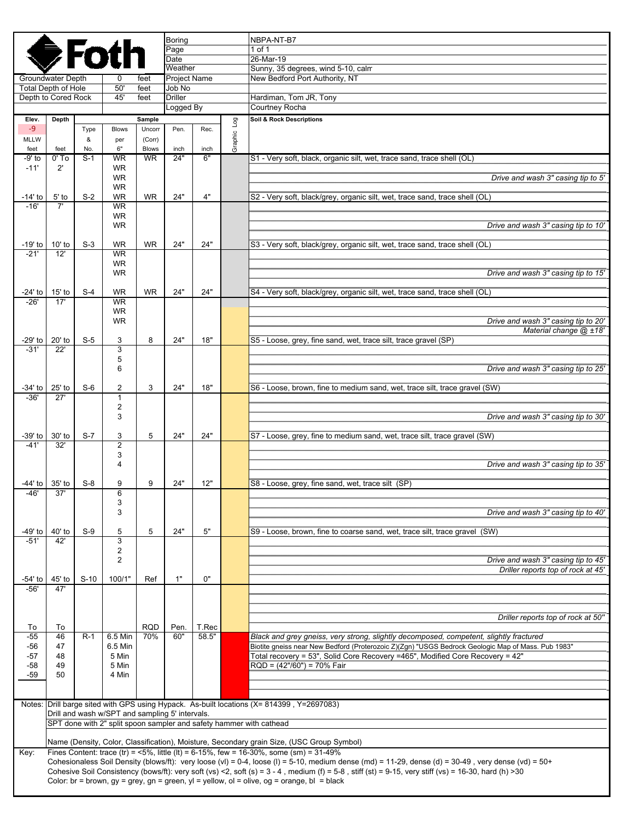|                   |                                                                     |          | <b>DE</b> Foth         |                        | Boring<br>Page              |                |                | NBPA-NT-B7<br>1 of 1                                                                                                                                                                                                                             |  |  |  |
|-------------------|---------------------------------------------------------------------|----------|------------------------|------------------------|-----------------------------|----------------|----------------|--------------------------------------------------------------------------------------------------------------------------------------------------------------------------------------------------------------------------------------------------|--|--|--|
|                   |                                                                     |          |                        |                        | Date<br>Weather             |                |                | 26-Mar-19<br>Sunny, 35 degrees, wind 5-10, calm                                                                                                                                                                                                  |  |  |  |
|                   | Groundwater Depth                                                   |          |                        | feet                   | Project Name                |                |                | New Bedford Port Authority, NT                                                                                                                                                                                                                   |  |  |  |
|                   | <b>Total Depth of Hole</b>                                          |          | 50'                    | feet                   | Job No                      |                |                |                                                                                                                                                                                                                                                  |  |  |  |
|                   | Depth to Cored Rock                                                 |          | 45'                    | feet                   | <b>Driller</b><br>Logged By |                |                | Hardiman, Tom JR, Tony<br>Courtney Rocha                                                                                                                                                                                                         |  |  |  |
| Elev.             | Depth                                                               |          |                        | Sample                 |                             |                | $\overline{a}$ | Soil & Rock Descriptions                                                                                                                                                                                                                         |  |  |  |
| $-9$              |                                                                     | Type     | <b>Blows</b>           | Uncorr                 | Pen.                        | Rec.           |                |                                                                                                                                                                                                                                                  |  |  |  |
| MLLW<br>feet      | feet                                                                | &<br>No. | per<br>6"              | (Corr)<br><b>Blows</b> | inch                        | inch           | Graphic        |                                                                                                                                                                                                                                                  |  |  |  |
| -9' to            | $0'$ To                                                             | $S-1$    | <b>WR</b>              | <b>WR</b>              | 24"                         | 6"             |                | S1 - Very soft, black, organic silt, wet, trace sand, trace shell (OL)                                                                                                                                                                           |  |  |  |
| $-11'$            | $2^{\prime}$                                                        |          | <b>WR</b><br><b>WR</b> |                        |                             |                |                | Drive and wash 3" casing tip to 5'                                                                                                                                                                                                               |  |  |  |
|                   |                                                                     |          | <b>WR</b>              |                        |                             |                |                |                                                                                                                                                                                                                                                  |  |  |  |
| -14' to           | $5'$ to                                                             | $S-2$    | <b>WR</b>              | <b>WR</b>              | 24"                         | 4"             |                | S2 - Very soft, black/grey, organic silt, wet, trace sand, trace shell (OL)                                                                                                                                                                      |  |  |  |
| $-16'$            | 7'                                                                  |          | <b>WR</b><br><b>WR</b> |                        |                             |                |                |                                                                                                                                                                                                                                                  |  |  |  |
|                   |                                                                     |          | <b>WR</b>              |                        |                             |                |                | Drive and wash 3" casing tip to 10"                                                                                                                                                                                                              |  |  |  |
| $-19'$ to         | $10'$ to                                                            | $S-3$    | <b>WR</b>              | <b>WR</b>              | 24"                         | 24"            |                | S3 - Very soft, black/grey, organic silt, wet, trace sand, trace shell (OL)                                                                                                                                                                      |  |  |  |
| $-21'$            | 12'                                                                 |          | <b>WR</b>              |                        |                             |                |                |                                                                                                                                                                                                                                                  |  |  |  |
|                   |                                                                     |          | <b>WR</b>              |                        |                             |                |                |                                                                                                                                                                                                                                                  |  |  |  |
|                   |                                                                     |          | <b>WR</b>              |                        |                             |                |                | Drive and wash 3" casing tip to 15'                                                                                                                                                                                                              |  |  |  |
| -24' to           | $15'$ to                                                            | $S-4$    | <b>WR</b>              | <b>WR</b>              | 24"                         | 24"            |                | S4 - Very soft, black/grey, organic silt, wet, trace sand, trace shell (OL)                                                                                                                                                                      |  |  |  |
| $-26'$            | 17'                                                                 |          | <b>WR</b><br><b>WR</b> |                        |                             |                |                |                                                                                                                                                                                                                                                  |  |  |  |
|                   |                                                                     |          | <b>WR</b>              |                        |                             |                |                | Drive and wash 3" casing tip to 20'                                                                                                                                                                                                              |  |  |  |
|                   |                                                                     |          |                        |                        |                             |                |                | Material change @ ±18'                                                                                                                                                                                                                           |  |  |  |
| -29' to<br>$-31'$ | 20' to<br>22'                                                       | $S-5$    | 3<br>$\overline{3}$    | 8                      | 24"                         | 18"            |                | S5 - Loose, grey, fine sand, wet, trace silt, trace gravel (SP)                                                                                                                                                                                  |  |  |  |
|                   |                                                                     |          | 5                      |                        |                             |                |                |                                                                                                                                                                                                                                                  |  |  |  |
|                   |                                                                     |          | 6                      |                        |                             |                |                | Drive and wash 3" casing tip to 25'                                                                                                                                                                                                              |  |  |  |
| $-34'$ to         | $25'$ to                                                            | $S-6$    | $\overline{2}$         | 3                      | 24"                         | 18"            |                | S6 - Loose, brown, fine to medium sand, wet, trace silt, trace gravel (SW)                                                                                                                                                                       |  |  |  |
| $-36'$            | 27'                                                                 |          | 1                      |                        |                             |                |                |                                                                                                                                                                                                                                                  |  |  |  |
|                   |                                                                     |          | 2<br>3                 |                        |                             |                |                | Drive and wash 3" casing tip to 30'                                                                                                                                                                                                              |  |  |  |
|                   |                                                                     |          |                        |                        |                             |                |                |                                                                                                                                                                                                                                                  |  |  |  |
| -39' to<br>$-41'$ | 30' to<br>32'                                                       | $S-7$    | 3<br>$\overline{2}$    | 5                      | 24"                         | 24"            |                | S7 - Loose, grey, fine to medium sand, wet, trace silt, trace gravel (SW)                                                                                                                                                                        |  |  |  |
|                   |                                                                     |          | 3                      |                        |                             |                |                |                                                                                                                                                                                                                                                  |  |  |  |
|                   |                                                                     |          | 4                      |                        |                             |                |                | Drive and wash 3" casing tip to 35'                                                                                                                                                                                                              |  |  |  |
| -44' to           | $35'$ to                                                            | $S-8$    | 9                      | 9                      | 24"                         | 12"            |                | S8 - Loose, grey, fine sand, wet, trace silt (SP)                                                                                                                                                                                                |  |  |  |
| 46'               | 37'                                                                 |          | 6<br>3                 |                        |                             |                |                |                                                                                                                                                                                                                                                  |  |  |  |
|                   |                                                                     |          | 3                      |                        |                             |                |                | Drive and wash 3" casing tip to 40'                                                                                                                                                                                                              |  |  |  |
|                   |                                                                     |          |                        |                        |                             |                |                |                                                                                                                                                                                                                                                  |  |  |  |
| $-51'$            | -49' to 40' to<br>42'                                               | $S-9$    | 5<br>3                 | 5                      | 24"                         | $5"$           |                | S9 - Loose, brown, fine to coarse sand, wet, trace silt, trace gravel (SW)                                                                                                                                                                       |  |  |  |
|                   |                                                                     |          | 2                      |                        |                             |                |                |                                                                                                                                                                                                                                                  |  |  |  |
|                   |                                                                     |          | 2                      |                        |                             |                |                | Drive and wash 3" casing tip to 45'<br>Driller reports top of rock at 45'                                                                                                                                                                        |  |  |  |
| $-54'$ to         | 45' to                                                              | $S-10$   | 100/1"                 | Ref                    | 1"                          | 0"             |                |                                                                                                                                                                                                                                                  |  |  |  |
| $-56'$            | 47'                                                                 |          |                        |                        |                             |                |                |                                                                                                                                                                                                                                                  |  |  |  |
|                   |                                                                     |          |                        |                        |                             |                |                |                                                                                                                                                                                                                                                  |  |  |  |
|                   |                                                                     |          |                        |                        |                             |                |                | Driller reports top of rock at 50"                                                                                                                                                                                                               |  |  |  |
| To<br>$-55$       | To<br>46                                                            | $R-1$    | 6.5 Min                | <b>RQD</b><br>70%      | Pen.<br>60"                 | T.Rec<br>58.5" |                | Black and grey gneiss, very strong, slightly decomposed, competent, slightly fractured                                                                                                                                                           |  |  |  |
| -56               | 47                                                                  |          | 6.5 Min                |                        |                             |                |                | Biotite gneiss near New Bedford (Proterozoic Z)(Zgn) "USGS Bedrock Geologic Map of Mass. Pub 1983"                                                                                                                                               |  |  |  |
| $-57$<br>-58      | 48<br>49                                                            |          | 5 Min<br>5 Min         |                        |                             |                |                | Total recovery = 53", Solid Core Recovery =465", Modified Core Recovery = 42"<br>$RQD = (42*/60") = 70%$ Fair                                                                                                                                    |  |  |  |
| $-59$             | 50                                                                  |          | 4 Min                  |                        |                             |                |                |                                                                                                                                                                                                                                                  |  |  |  |
|                   |                                                                     |          |                        |                        |                             |                |                |                                                                                                                                                                                                                                                  |  |  |  |
|                   |                                                                     |          |                        |                        |                             |                |                | Notes: Drill barge sited with GPS using Hypack. As-built locations (X= 814399, Y=2697083)                                                                                                                                                        |  |  |  |
|                   | Drill and wash w/SPT and sampling 5' intervals.                     |          |                        |                        |                             |                |                |                                                                                                                                                                                                                                                  |  |  |  |
|                   | SPT done with 2" split spoon sampler and safety hammer with cathead |          |                        |                        |                             |                |                |                                                                                                                                                                                                                                                  |  |  |  |
|                   |                                                                     |          |                        |                        |                             |                |                | Name (Density, Color, Classification), Moisture, Secondary grain Size, (USC Group Symbol)                                                                                                                                                        |  |  |  |
| Key:              |                                                                     |          |                        |                        |                             |                |                | Fines Content: trace (tr) = $5\%$ , little (lt) = 6-15%, few = 16-30%, some (sm) = 31-49%<br>Cohesionaless Soil Density (blows/ft): very loose (vl) = 0-4, loose (l) = 5-10, medium dense (md) = 11-29, dense (d) = 30-49, very dense (vd) = 50+ |  |  |  |
|                   |                                                                     |          |                        |                        |                             |                |                | Cohesive Soil Consistency (bows/ft): very soft (vs) <2, soft (s) = $3 - 4$ , medium (f) = $5 - 8$ , stiff (st) = $9 - 15$ , very stiff (vs) = $16 - 30$ , hard (h) > 30                                                                          |  |  |  |
|                   |                                                                     |          |                        |                        |                             |                |                | Color: br = brown, $gy = grey$ , $gn = green$ , $yl = yellow$ , $ol = olive$ , $og = orange$ , $bl = black$                                                                                                                                      |  |  |  |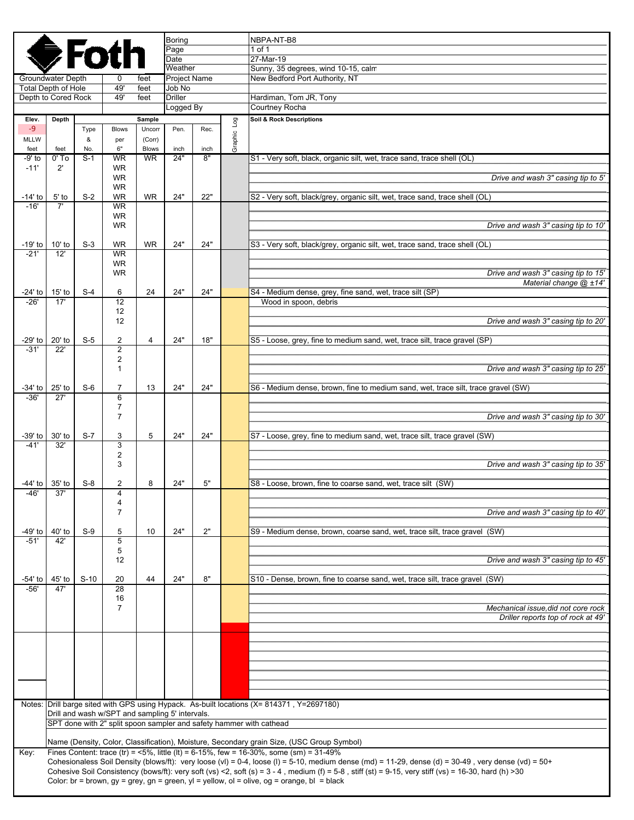|                            |                                                                     |           |                                   |                                                 | Boring                 |      |                | NBPA-NT-B8                                                                                                                                                                                                                                                                                                                     |  |  |  |
|----------------------------|---------------------------------------------------------------------|-----------|-----------------------------------|-------------------------------------------------|------------------------|------|----------------|--------------------------------------------------------------------------------------------------------------------------------------------------------------------------------------------------------------------------------------------------------------------------------------------------------------------------------|--|--|--|
|                            |                                                                     |           | <b>●Foth</b>                      |                                                 | Page<br>Date           |      |                | 1 of 1<br>27-Mar-19                                                                                                                                                                                                                                                                                                            |  |  |  |
|                            |                                                                     |           |                                   |                                                 | Weather                |      |                | Sunny, 35 degrees, wind 10-15, calm                                                                                                                                                                                                                                                                                            |  |  |  |
| <b>Total Depth of Hole</b> | Groundwater Depth                                                   |           | 0<br>49'                          | feet<br>feet                                    | Project Name<br>Job No |      |                | New Bedford Port Authority, NT                                                                                                                                                                                                                                                                                                 |  |  |  |
| Depth to Cored Rock        |                                                                     |           | 49'                               | feet                                            | <b>Driller</b>         |      |                | Hardiman, Tom JR, Tony                                                                                                                                                                                                                                                                                                         |  |  |  |
|                            |                                                                     |           |                                   |                                                 | Logged By              |      |                | Courtney Rocha                                                                                                                                                                                                                                                                                                                 |  |  |  |
| Elev.                      | Depth                                                               |           |                                   | Sample                                          |                        |      | $\overline{a}$ | Soil & Rock Descriptions                                                                                                                                                                                                                                                                                                       |  |  |  |
| $-9$<br>MLLW               |                                                                     | Type<br>& | <b>Blows</b><br>per               | Uncorr<br>(Corr)                                | Pen.                   | Rec. | Graphic I      |                                                                                                                                                                                                                                                                                                                                |  |  |  |
| feet                       | feet                                                                | No.       | 6"                                | <b>Blows</b>                                    | inch                   | inch |                |                                                                                                                                                                                                                                                                                                                                |  |  |  |
| -9' to                     | $0'$ To                                                             | $S-1$     | <b>WR</b>                         | <b>WR</b>                                       | 24"                    | 8"   |                | S1 - Very soft, black, organic silt, wet, trace sand, trace shell (OL)                                                                                                                                                                                                                                                         |  |  |  |
| $-11'$                     | $2^{\prime}$                                                        |           | <b>WR</b><br><b>WR</b>            |                                                 |                        |      |                | Drive and wash 3" casing tip to 5'                                                                                                                                                                                                                                                                                             |  |  |  |
|                            |                                                                     |           | <b>WR</b>                         |                                                 |                        |      |                |                                                                                                                                                                                                                                                                                                                                |  |  |  |
| -14' to                    | $5'$ to                                                             | $S-2$     | <b>WR</b>                         | <b>WR</b>                                       | 24"                    | 22"  |                | S2 - Very soft, black/grey, organic silt, wet, trace sand, trace shell (OL)                                                                                                                                                                                                                                                    |  |  |  |
| $-16'$                     | 7'                                                                  |           | <b>WR</b><br><b>WR</b>            |                                                 |                        |      |                |                                                                                                                                                                                                                                                                                                                                |  |  |  |
|                            |                                                                     |           | <b>WR</b>                         |                                                 |                        |      |                | Drive and wash 3" casing tip to 10"                                                                                                                                                                                                                                                                                            |  |  |  |
|                            |                                                                     |           |                                   |                                                 |                        |      |                |                                                                                                                                                                                                                                                                                                                                |  |  |  |
| $-19'$ to<br>$-21'$        | $10'$ to<br>12'                                                     | $S-3$     | <b>WR</b><br><b>WR</b>            | <b>WR</b>                                       | 24"                    | 24"  |                | S3 - Very soft, black/grey, organic silt, wet, trace sand, trace shell (OL)                                                                                                                                                                                                                                                    |  |  |  |
|                            |                                                                     |           | <b>WR</b>                         |                                                 |                        |      |                |                                                                                                                                                                                                                                                                                                                                |  |  |  |
|                            |                                                                     |           | <b>WR</b>                         |                                                 |                        |      |                | Drive and wash 3" casing tip to 15'                                                                                                                                                                                                                                                                                            |  |  |  |
| -24' to                    | $15'$ to                                                            | $S-4$     | 6                                 | 24                                              | 24"                    | 24"  |                | Material change $@$ $±14'$<br>S4 - Medium dense, grey, fine sand, wet, trace silt (SP)                                                                                                                                                                                                                                         |  |  |  |
| $-26'$                     | 17'                                                                 |           | $\overline{12}$                   |                                                 |                        |      |                | Wood in spoon, debris                                                                                                                                                                                                                                                                                                          |  |  |  |
|                            |                                                                     |           | 12                                |                                                 |                        |      |                |                                                                                                                                                                                                                                                                                                                                |  |  |  |
|                            |                                                                     |           | 12                                |                                                 |                        |      |                | Drive and wash 3" casing tip to 20"                                                                                                                                                                                                                                                                                            |  |  |  |
| $-29'$ to                  | 20' to                                                              | $S-5$     | 2                                 | 4                                               | 24"                    | 18"  |                | S5 - Loose, grey, fine to medium sand, wet, trace silt, trace gravel (SP)                                                                                                                                                                                                                                                      |  |  |  |
| $-31'$                     | 22'                                                                 |           | $\overline{2}$                    |                                                 |                        |      |                |                                                                                                                                                                                                                                                                                                                                |  |  |  |
|                            |                                                                     |           | $\overline{2}$<br>1               |                                                 |                        |      |                | Drive and wash 3" casing tip to 25'                                                                                                                                                                                                                                                                                            |  |  |  |
|                            |                                                                     |           |                                   |                                                 |                        |      |                |                                                                                                                                                                                                                                                                                                                                |  |  |  |
| $-34'$ to<br>$-36'$        | $25'$ to<br>27'                                                     | $S-6$     | $\overline{7}$<br>$6\overline{6}$ | 13                                              | 24"                    | 24"  |                | S6 - Medium dense, brown, fine to medium sand, wet, trace silt, trace gravel (SW)                                                                                                                                                                                                                                              |  |  |  |
|                            |                                                                     |           | $\overline{7}$                    |                                                 |                        |      |                |                                                                                                                                                                                                                                                                                                                                |  |  |  |
|                            |                                                                     |           | 7                                 |                                                 |                        |      |                | Drive and wash 3" casing tip to 30'                                                                                                                                                                                                                                                                                            |  |  |  |
| -39' to                    | 30' to                                                              | $S-7$     |                                   | 5                                               | 24"                    | 24"  |                | S7 - Loose, grey, fine to medium sand, wet, trace silt, trace gravel (SW)                                                                                                                                                                                                                                                      |  |  |  |
| $-41'$                     | 32'                                                                 |           | 3<br>3                            |                                                 |                        |      |                |                                                                                                                                                                                                                                                                                                                                |  |  |  |
|                            |                                                                     |           | 2                                 |                                                 |                        |      |                |                                                                                                                                                                                                                                                                                                                                |  |  |  |
|                            |                                                                     |           | 3                                 |                                                 |                        |      |                | Drive and wash 3" casing tip to 35'                                                                                                                                                                                                                                                                                            |  |  |  |
| -44' to                    | $35'$ to                                                            | $S-8$     | 2                                 | 8                                               | 24"                    | 5"   |                | S8 - Loose, brown, fine to coarse sand, wet, trace silt (SW)                                                                                                                                                                                                                                                                   |  |  |  |
| 46'                        | 37'                                                                 |           | 4                                 |                                                 |                        |      |                |                                                                                                                                                                                                                                                                                                                                |  |  |  |
|                            |                                                                     |           | 4<br>7                            |                                                 |                        |      |                | Drive and wash 3" casing tip to 40'                                                                                                                                                                                                                                                                                            |  |  |  |
|                            |                                                                     |           |                                   |                                                 |                        |      |                |                                                                                                                                                                                                                                                                                                                                |  |  |  |
| -49' to 40' to             |                                                                     | $S-9$     | 5                                 | 10                                              | 24"                    | 2"   |                | S9 - Medium dense, brown, coarse sand, wet, trace silt, trace gravel (SW)                                                                                                                                                                                                                                                      |  |  |  |
| $-51'$                     | 42'                                                                 |           | 5<br>5                            |                                                 |                        |      |                |                                                                                                                                                                                                                                                                                                                                |  |  |  |
|                            |                                                                     |           | 12                                |                                                 |                        |      |                | Drive and wash 3" casing tip to 45'                                                                                                                                                                                                                                                                                            |  |  |  |
|                            |                                                                     |           |                                   |                                                 |                        |      |                | S10 - Dense, brown, fine to coarse sand, wet, trace silt, trace gravel (SW)                                                                                                                                                                                                                                                    |  |  |  |
| -54' to  <br>$-56'$        | 45' to<br>47'                                                       | $S-10$    | 20<br>28                          | 44                                              | 24"                    | 8"   |                |                                                                                                                                                                                                                                                                                                                                |  |  |  |
|                            |                                                                     |           | 16                                |                                                 |                        |      |                |                                                                                                                                                                                                                                                                                                                                |  |  |  |
|                            |                                                                     |           | 7                                 |                                                 |                        |      |                | Mechanical issue did not core rock<br>Driller reports top of rock at 49'                                                                                                                                                                                                                                                       |  |  |  |
|                            |                                                                     |           |                                   |                                                 |                        |      |                |                                                                                                                                                                                                                                                                                                                                |  |  |  |
|                            |                                                                     |           |                                   |                                                 |                        |      |                |                                                                                                                                                                                                                                                                                                                                |  |  |  |
|                            |                                                                     |           |                                   |                                                 |                        |      |                |                                                                                                                                                                                                                                                                                                                                |  |  |  |
|                            |                                                                     |           |                                   |                                                 |                        |      |                |                                                                                                                                                                                                                                                                                                                                |  |  |  |
|                            |                                                                     |           |                                   |                                                 |                        |      |                |                                                                                                                                                                                                                                                                                                                                |  |  |  |
|                            |                                                                     |           |                                   |                                                 |                        |      |                |                                                                                                                                                                                                                                                                                                                                |  |  |  |
|                            |                                                                     |           |                                   |                                                 |                        |      |                | Notes: Drill barge sited with GPS using Hypack. As-built locations (X= 814371, Y=2697180)                                                                                                                                                                                                                                      |  |  |  |
|                            |                                                                     |           |                                   | Drill and wash w/SPT and sampling 5' intervals. |                        |      |                |                                                                                                                                                                                                                                                                                                                                |  |  |  |
|                            | SPT done with 2" split spoon sampler and safety hammer with cathead |           |                                   |                                                 |                        |      |                |                                                                                                                                                                                                                                                                                                                                |  |  |  |
|                            |                                                                     |           |                                   |                                                 |                        |      |                | Name (Density, Color, Classification), Moisture, Secondary grain Size, (USC Group Symbol)                                                                                                                                                                                                                                      |  |  |  |
| Key:                       |                                                                     |           |                                   |                                                 |                        |      |                | Fines Content: trace (tr) = <5%, little (lt) = 6-15%, few = 16-30%, some (sm) = $31-49\%$                                                                                                                                                                                                                                      |  |  |  |
|                            |                                                                     |           |                                   |                                                 |                        |      |                | Cohesionaless Soil Density (blows/ft): very loose (vl) = 0-4, loose (l) = 5-10, medium dense (md) = 11-29, dense (d) = 30-49, very dense (vd) = 50+<br>Cohesive Soil Consistency (bows/ft): very soft (vs) <2, soft (s) = $3 - 4$ , medium (f) = $5 - 8$ , stiff (st) = $9 - 15$ , very stiff (vs) = $16 - 30$ , hard (h) > 30 |  |  |  |
|                            |                                                                     |           |                                   |                                                 |                        |      |                | Color: br = brown, $gy = grey$ , $gn = green$ , $yl = yellow$ , $ol = olive$ , $og = orange$ , $bl = black$                                                                                                                                                                                                                    |  |  |  |
|                            |                                                                     |           |                                   |                                                 |                        |      |                |                                                                                                                                                                                                                                                                                                                                |  |  |  |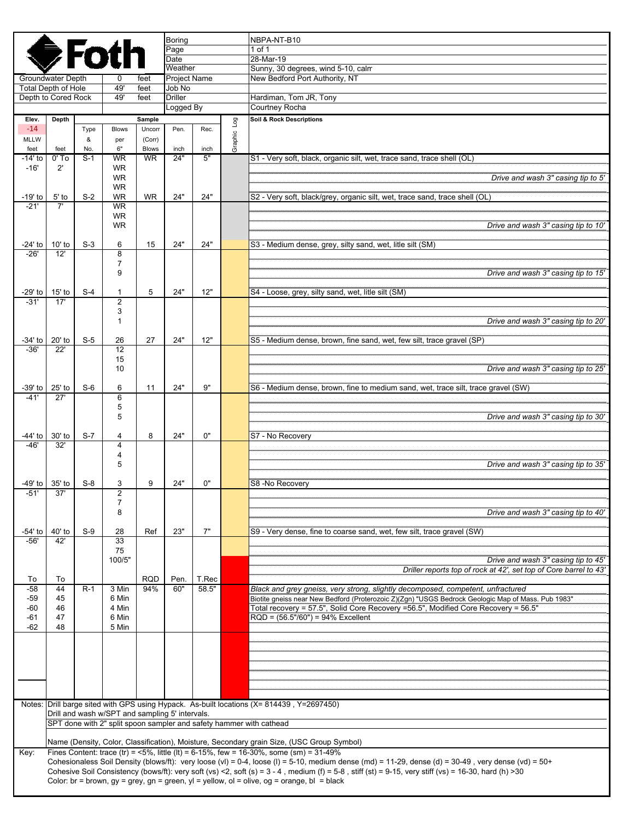|                      |                                                 |           |                                                 |                   | Boring                 |                |         | NBPA-NT-B10                                                                                                                                                                                                                                                                                                                    |
|----------------------|-------------------------------------------------|-----------|-------------------------------------------------|-------------------|------------------------|----------------|---------|--------------------------------------------------------------------------------------------------------------------------------------------------------------------------------------------------------------------------------------------------------------------------------------------------------------------------------|
|                      |                                                 |           | <b>●Foth</b>                                    |                   | Page<br>Date           |                |         | 1 of 1<br>28-Mar-19                                                                                                                                                                                                                                                                                                            |
|                      |                                                 |           |                                                 |                   | Weather                |                |         | Sunny, 30 degrees, wind 5-10, calm                                                                                                                                                                                                                                                                                             |
|                      | Groundwater Depth<br><b>Total Depth of Hole</b> |           | 0<br>49'                                        | feet<br>feet      | Project Name<br>Job No |                |         | New Bedford Port Authority, NT                                                                                                                                                                                                                                                                                                 |
|                      | Depth to Cored Rock                             |           | 49'                                             | feet              | <b>Driller</b>         |                |         | Hardiman, Tom JR, Tony                                                                                                                                                                                                                                                                                                         |
|                      |                                                 |           |                                                 |                   | Logged By              |                |         | Courtney Rocha                                                                                                                                                                                                                                                                                                                 |
| Elev.                | Depth                                           |           |                                                 | Sample            |                        |                | Log     | Soil & Rock Descriptions                                                                                                                                                                                                                                                                                                       |
| $-14$<br><b>MLLW</b> |                                                 | Type<br>& | <b>Blows</b><br>per                             | Uncorr<br>(Corr)  | Pen.                   | Rec.           |         |                                                                                                                                                                                                                                                                                                                                |
| feet                 | feet                                            | No.       | 6"                                              | <b>Blows</b>      | inch                   | inch           | Graphic |                                                                                                                                                                                                                                                                                                                                |
| -14' to              | $0'$ To                                         | $S-1$     | <b>WR</b>                                       | <b>WR</b>         | 24"                    | 5"             |         | S1 - Very soft, black, organic silt, wet, trace sand, trace shell (OL)                                                                                                                                                                                                                                                         |
| $-16'$               | $2^{\prime}$                                    |           | <b>WR</b><br><b>WR</b>                          |                   |                        |                |         | Drive and wash 3" casing tip to 5'                                                                                                                                                                                                                                                                                             |
|                      |                                                 |           | <b>WR</b>                                       |                   |                        |                |         |                                                                                                                                                                                                                                                                                                                                |
| $-19'$ to            | $5'$ to                                         | $S-2$     | <b>WR</b>                                       | <b>WR</b>         | 24"                    | 24"            |         | S2 - Very soft, black/grey, organic silt, wet, trace sand, trace shell (OL)                                                                                                                                                                                                                                                    |
| $-21'$               | 7'                                              |           | <b>WR</b><br><b>WR</b>                          |                   |                        |                |         |                                                                                                                                                                                                                                                                                                                                |
|                      |                                                 |           | <b>WR</b>                                       |                   |                        |                |         | Drive and wash 3" casing tip to 10"                                                                                                                                                                                                                                                                                            |
|                      |                                                 |           |                                                 |                   |                        |                |         |                                                                                                                                                                                                                                                                                                                                |
| -24' to<br>$-26'$    | $10'$ to<br>12'                                 | $S-3$     | 6<br>8                                          | 15                | 24"                    | 24"            |         | S3 - Medium dense, grey, silty sand, wet, litle silt (SM)                                                                                                                                                                                                                                                                      |
|                      |                                                 |           | 7                                               |                   |                        |                |         |                                                                                                                                                                                                                                                                                                                                |
|                      |                                                 |           | 9                                               |                   |                        |                |         | Drive and wash 3" casing tip to 15'                                                                                                                                                                                                                                                                                            |
| -29' to              | $15'$ to                                        | $S-4$     | 1                                               | 5                 | 24"                    | 12"            |         | S4 - Loose, grey, silty sand, wet, litle silt (SM)                                                                                                                                                                                                                                                                             |
| $-31'$               | 17'                                             |           | $\overline{2}$                                  |                   |                        |                |         |                                                                                                                                                                                                                                                                                                                                |
|                      |                                                 |           | 3                                               |                   |                        |                |         |                                                                                                                                                                                                                                                                                                                                |
|                      |                                                 |           | 1                                               |                   |                        |                |         | Drive and wash 3" casing tip to 20"                                                                                                                                                                                                                                                                                            |
| $-34'$ to            | 20' to                                          | $S-5$     | 26                                              | 27                | 24"                    | 12"            |         | S5 - Medium dense, brown, fine sand, wet, few silt, trace gravel (SP)                                                                                                                                                                                                                                                          |
| $-36'$               | 22'                                             |           | 12                                              |                   |                        |                |         |                                                                                                                                                                                                                                                                                                                                |
|                      |                                                 |           | 15<br>10                                        |                   |                        |                |         | Drive and wash 3" casing tip to 25'                                                                                                                                                                                                                                                                                            |
|                      |                                                 |           |                                                 |                   |                        |                |         |                                                                                                                                                                                                                                                                                                                                |
| -39' to<br>$-41'$    | $25'$ to<br>27'                                 | $S-6$     | 6                                               | 11                | 24"                    | 9"             |         | S6 - Medium dense, brown, fine to medium sand, wet, trace silt, trace gravel (SW)                                                                                                                                                                                                                                              |
|                      |                                                 |           | 6<br>5                                          |                   |                        |                |         |                                                                                                                                                                                                                                                                                                                                |
|                      |                                                 |           | 5                                               |                   |                        |                |         | Drive and wash 3" casing tip to 30"                                                                                                                                                                                                                                                                                            |
|                      |                                                 |           |                                                 |                   |                        |                |         |                                                                                                                                                                                                                                                                                                                                |
| -44' to<br>$-46'$    | 30' to<br>32'                                   | $S-7$     | 4<br>$\overline{4}$                             | 8                 | 24"                    | 0"             |         | S7 - No Recovery                                                                                                                                                                                                                                                                                                               |
|                      |                                                 |           | 4                                               |                   |                        |                |         |                                                                                                                                                                                                                                                                                                                                |
|                      |                                                 |           | 5                                               |                   |                        |                |         | Drive and wash 3" casing tip to 35'                                                                                                                                                                                                                                                                                            |
| -49' to              | 35' to                                          | $S-8$     | 3                                               | 9                 | 24"                    | 0"             |         | S8-No Recovery                                                                                                                                                                                                                                                                                                                 |
| -51'                 | 37'                                             |           | $\overline{2}$                                  |                   |                        |                |         |                                                                                                                                                                                                                                                                                                                                |
|                      |                                                 |           | 7<br>8                                          |                   |                        |                |         | Drive and wash 3" casing tip to 40'                                                                                                                                                                                                                                                                                            |
|                      |                                                 |           |                                                 |                   |                        |                |         |                                                                                                                                                                                                                                                                                                                                |
| -54' to              | 40' to                                          | $S-9$     | 28                                              | Ref               | 23"                    | 7"             |         | S9 - Very dense, fine to coarse sand, wet, few silt, trace gravel (SW)                                                                                                                                                                                                                                                         |
| $-56'$               | 42'                                             |           | 33<br>75                                        |                   |                        |                |         |                                                                                                                                                                                                                                                                                                                                |
|                      |                                                 |           | 100/5"                                          |                   |                        |                |         | Drive and wash 3" casing tip to 45'                                                                                                                                                                                                                                                                                            |
|                      |                                                 |           |                                                 |                   |                        |                |         | Driller reports top of rock at 42', set top of Core barrel to 43'                                                                                                                                                                                                                                                              |
| To<br>$-58$          | To<br>44                                        | $R-1$     | 3 Min                                           | <b>RQD</b><br>94% | Pen.<br>60"            | T.Rec<br>58.5" |         | Black and grey gneiss, very strong, slightly decomposed, competent, unfractured                                                                                                                                                                                                                                                |
| -59                  | 45                                              |           | 6 Min                                           |                   |                        |                |         | Biotite gneiss near New Bedford (Proterozoic Z)(Zgn) "USGS Bedrock Geologic Map of Mass. Pub 1983"                                                                                                                                                                                                                             |
| -60                  | 46                                              |           | 4 Min                                           |                   |                        |                |         | Total recovery = 57.5", Solid Core Recovery = 56.5", Modified Core Recovery = 56.5"                                                                                                                                                                                                                                            |
| $-61$<br>$-62$       | 47<br>48                                        |           | 6 Min<br>5 Min                                  |                   |                        |                |         | $RQD = (56.5*/60") = 94%$ Excellent                                                                                                                                                                                                                                                                                            |
|                      |                                                 |           |                                                 |                   |                        |                |         |                                                                                                                                                                                                                                                                                                                                |
|                      |                                                 |           |                                                 |                   |                        |                |         |                                                                                                                                                                                                                                                                                                                                |
|                      |                                                 |           |                                                 |                   |                        |                |         |                                                                                                                                                                                                                                                                                                                                |
|                      |                                                 |           |                                                 |                   |                        |                |         |                                                                                                                                                                                                                                                                                                                                |
|                      |                                                 |           |                                                 |                   |                        |                |         |                                                                                                                                                                                                                                                                                                                                |
|                      |                                                 |           |                                                 |                   |                        |                |         | Notes: Drill barge sited with GPS using Hypack. As-built locations (X= 814439, Y=2697450)                                                                                                                                                                                                                                      |
|                      |                                                 |           | Drill and wash w/SPT and sampling 5' intervals. |                   |                        |                |         |                                                                                                                                                                                                                                                                                                                                |
|                      |                                                 |           |                                                 |                   |                        |                |         | SPT done with 2" split spoon sampler and safety hammer with cathead                                                                                                                                                                                                                                                            |
|                      |                                                 |           |                                                 |                   |                        |                |         | Name (Density, Color, Classification), Moisture, Secondary grain Size, (USC Group Symbol)                                                                                                                                                                                                                                      |
| Key:                 |                                                 |           |                                                 |                   |                        |                |         | Fines Content: trace (tr) = $5\%$ , little (lt) = 6-15%, few = 16-30%, some (sm) = 31-49%                                                                                                                                                                                                                                      |
|                      |                                                 |           |                                                 |                   |                        |                |         | Cohesionaless Soil Density (blows/ft): very loose (vl) = 0-4, loose (l) = 5-10, medium dense (md) = 11-29, dense (d) = 30-49, very dense (vd) = 50+<br>Cohesive Soil Consistency (bows/ft): very soft (vs) <2, soft (s) = $3 - 4$ , medium (f) = $5 - 8$ , stiff (st) = $9 - 15$ , very stiff (vs) = $16 - 30$ , hard (h) > 30 |
|                      |                                                 |           |                                                 |                   |                        |                |         | Color: br = brown, gy = grey, gn = green, yl = yellow, ol = olive, og = orange, bl = black                                                                                                                                                                                                                                     |
|                      |                                                 |           |                                                 |                   |                        |                |         |                                                                                                                                                                                                                                                                                                                                |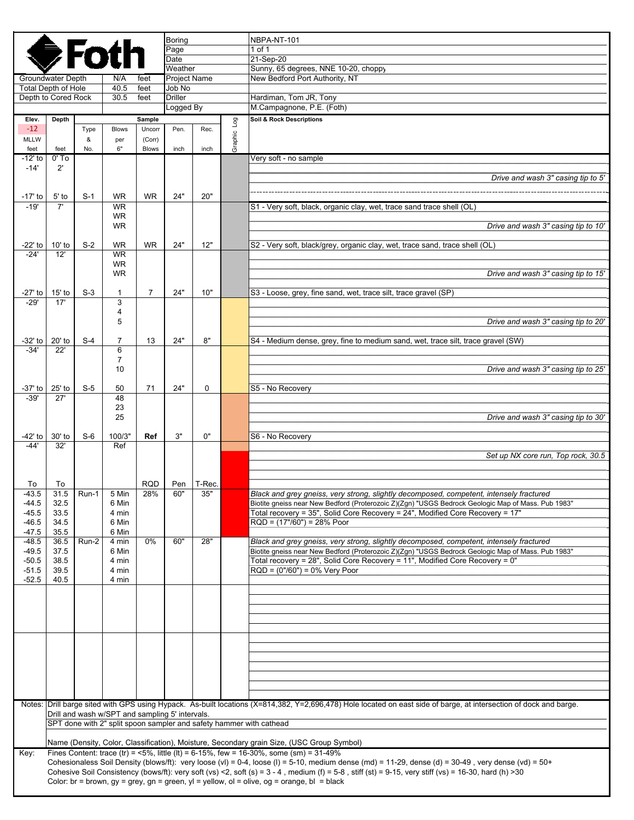|                     |                                                 |            |                                                 |                | Boring                  |            |         | NBPA-NT-101                                                                                                                                                                                                                                     |  |  |
|---------------------|-------------------------------------------------|------------|-------------------------------------------------|----------------|-------------------------|------------|---------|-------------------------------------------------------------------------------------------------------------------------------------------------------------------------------------------------------------------------------------------------|--|--|
|                     | <b>SFotl</b>                                    |            | Page                                            |                |                         | $1$ of $1$ |         |                                                                                                                                                                                                                                                 |  |  |
|                     |                                                 |            |                                                 |                | Date                    |            |         | 21-Sep-20                                                                                                                                                                                                                                       |  |  |
|                     |                                                 |            |                                                 |                | Weather<br>Project Name |            |         | Sunny, 65 degrees, NNE 10-20, choppy                                                                                                                                                                                                            |  |  |
|                     | <b>Groundwater Depth</b><br>Total Depth of Hole |            | N/A<br>40.5                                     | feet<br>feet   | Job No                  |            |         | New Bedford Port Authority, NT                                                                                                                                                                                                                  |  |  |
| Depth to Cored Rock |                                                 |            | 30.5                                            | feet           | <b>Driller</b>          |            |         | Hardiman, Tom JR, Tony                                                                                                                                                                                                                          |  |  |
|                     |                                                 |            |                                                 |                | Logged By               |            |         | M.Campagnone, P.E. (Foth)                                                                                                                                                                                                                       |  |  |
| Elev.               | Depth                                           |            |                                                 | Sample         |                         |            | Log     | Soil & Rock Descriptions                                                                                                                                                                                                                        |  |  |
| $-12$               |                                                 | Type       | <b>Blows</b>                                    | Uncorr         | Pen.                    | Rec.       |         |                                                                                                                                                                                                                                                 |  |  |
| MLLW                |                                                 | &          | per                                             | (Corr)         |                         |            | Graphic |                                                                                                                                                                                                                                                 |  |  |
| feet<br>-12' to     | feet<br>$0'$ To                                 | No.        | 6"                                              | <b>Blows</b>   | inch                    | inch       |         |                                                                                                                                                                                                                                                 |  |  |
| $-14'$              | $2^{\prime}$                                    |            |                                                 |                |                         |            |         | Very soft - no sample                                                                                                                                                                                                                           |  |  |
|                     |                                                 |            |                                                 |                |                         |            |         | Drive and wash 3" casing tip to 5'                                                                                                                                                                                                              |  |  |
|                     |                                                 |            |                                                 |                |                         |            |         |                                                                                                                                                                                                                                                 |  |  |
| $-17'$ to           | $5'$ to                                         | $S-1$      | <b>WR</b>                                       | <b>WR</b>      | 24"                     | 20"        |         |                                                                                                                                                                                                                                                 |  |  |
| $-19'$              | 7'                                              |            | <b>WR</b>                                       |                |                         |            |         | S1 - Very soft, black, organic clay, wet, trace sand trace shell (OL)                                                                                                                                                                           |  |  |
|                     |                                                 |            | <b>WR</b><br><b>WR</b>                          |                |                         |            |         | Drive and wash 3" casing tip to 10'                                                                                                                                                                                                             |  |  |
|                     |                                                 |            |                                                 |                |                         |            |         |                                                                                                                                                                                                                                                 |  |  |
| -22' to             | $10'$ to                                        | $S-2$      | <b>WR</b>                                       | <b>WR</b>      | 24"                     | 12"        |         | S2 - Very soft, black/grey, organic clay, wet, trace sand, trace shell (OL)                                                                                                                                                                     |  |  |
| $-24'$              | 12'                                             |            | <b>WR</b>                                       |                |                         |            |         |                                                                                                                                                                                                                                                 |  |  |
|                     |                                                 |            | WR                                              |                |                         |            |         |                                                                                                                                                                                                                                                 |  |  |
|                     |                                                 |            | <b>WR</b>                                       |                |                         |            |         | Drive and wash 3" casing tip to 15'                                                                                                                                                                                                             |  |  |
| -27' to             | $15'$ to                                        | $S-3$      | 1                                               | $\overline{7}$ | 24"                     | 10"        |         | S3 - Loose, grey, fine sand, wet, trace silt, trace gravel (SP)                                                                                                                                                                                 |  |  |
| $-29'$              | 17'                                             |            | 3                                               |                |                         |            |         |                                                                                                                                                                                                                                                 |  |  |
|                     |                                                 |            | 4                                               |                |                         |            |         |                                                                                                                                                                                                                                                 |  |  |
|                     |                                                 |            | 5                                               |                |                         |            |         | Drive and wash 3" casing tip to 20'                                                                                                                                                                                                             |  |  |
|                     |                                                 |            |                                                 |                |                         |            |         |                                                                                                                                                                                                                                                 |  |  |
| -32' to<br>$-34'$   | 20' to<br>22'                                   | $S-4$      | 7<br>6                                          | 13             | 24"                     | 8"         |         | S4 - Medium dense, grey, fine to medium sand, wet, trace silt, trace gravel (SW)                                                                                                                                                                |  |  |
|                     |                                                 |            | $\overline{7}$                                  |                |                         |            |         |                                                                                                                                                                                                                                                 |  |  |
|                     |                                                 |            | 10                                              |                |                         |            |         | Drive and wash 3" casing tip to 25'                                                                                                                                                                                                             |  |  |
|                     |                                                 |            |                                                 |                |                         |            |         |                                                                                                                                                                                                                                                 |  |  |
| -37' to             | $25'$ to                                        | $S-5$      | 50                                              | 71             | 24"                     | 0          |         | S5 - No Recovery                                                                                                                                                                                                                                |  |  |
| $-39'$              | 27'                                             |            | 48<br>23                                        |                |                         |            |         |                                                                                                                                                                                                                                                 |  |  |
|                     |                                                 |            | 25                                              |                |                         |            |         | Drive and wash 3" casing tip to 30'                                                                                                                                                                                                             |  |  |
|                     |                                                 |            |                                                 |                |                         |            |         |                                                                                                                                                                                                                                                 |  |  |
| -42' to             | 30' to                                          | $S-6$      | 100/3"                                          | Ref            | 3"                      | 0"         |         | S6 - No Recovery                                                                                                                                                                                                                                |  |  |
| $-44'$              | 32'                                             |            | Ref                                             |                |                         |            |         |                                                                                                                                                                                                                                                 |  |  |
|                     |                                                 |            |                                                 |                |                         |            |         | Set up NX core run, Top rock, 30.5                                                                                                                                                                                                              |  |  |
|                     |                                                 |            |                                                 |                |                         |            |         |                                                                                                                                                                                                                                                 |  |  |
| To                  | To                                              |            |                                                 | <b>RQD</b>     | Pen                     | T-Rec.     |         |                                                                                                                                                                                                                                                 |  |  |
| $-43.5$             |                                                 | 31.5 Run-1 | 5 Min                                           | 28%            | 60"                     | 35"        |         | Black and grey gneiss, very strong, slightly decomposed, competent, intensely fractured                                                                                                                                                         |  |  |
| -44.5               | 32.5                                            |            | 6 Min                                           |                |                         |            |         | Biotite gneiss near New Bedford (Proterozoic Z)(Zgn) "USGS Bedrock Geologic Map of Mass. Pub 1983"                                                                                                                                              |  |  |
| $-45.5$<br>$-46.5$  | 33.5<br>34.5                                    |            | 4 min<br>6 Min                                  |                |                         |            |         | Total recovery = 35", Solid Core Recovery = 24", Modified Core Recovery = 17"<br>RQD = (17"/60") = 28% Poor                                                                                                                                     |  |  |
| $-47.5$             | 35.5                                            |            | 6 Min                                           |                |                         |            |         |                                                                                                                                                                                                                                                 |  |  |
| $-48.5$             | 36.5                                            | Run-2      | 4 min                                           | 0%             | 60"                     | 28"        |         | Black and grey gneiss, very strong, slightly decomposed, competent, intensely fractured                                                                                                                                                         |  |  |
| $-49.5$             | 37.5                                            |            | 6 Min                                           |                |                         |            |         | Biotite gneiss near New Bedford (Proterozoic Z)(Zgn) "USGS Bedrock Geologic Map of Mass. Pub 1983"                                                                                                                                              |  |  |
| $-50.5$             | 38.5                                            |            | 4 min                                           |                |                         |            |         | Total recovery = 28", Solid Core Recovery = 11", Modified Core Recovery = 0"                                                                                                                                                                    |  |  |
| $-51.5$             | 39.5                                            |            | 4 min<br>4 min                                  |                |                         |            |         | $RQD = (0'/60") = 0%$ Very Poor                                                                                                                                                                                                                 |  |  |
| $-52.5$             | 40.5                                            |            |                                                 |                |                         |            |         |                                                                                                                                                                                                                                                 |  |  |
|                     |                                                 |            |                                                 |                |                         |            |         |                                                                                                                                                                                                                                                 |  |  |
|                     |                                                 |            |                                                 |                |                         |            |         |                                                                                                                                                                                                                                                 |  |  |
|                     |                                                 |            |                                                 |                |                         |            |         |                                                                                                                                                                                                                                                 |  |  |
|                     |                                                 |            |                                                 |                |                         |            |         |                                                                                                                                                                                                                                                 |  |  |
|                     |                                                 |            |                                                 |                |                         |            |         |                                                                                                                                                                                                                                                 |  |  |
|                     |                                                 |            |                                                 |                |                         |            |         |                                                                                                                                                                                                                                                 |  |  |
|                     |                                                 |            |                                                 |                |                         |            |         |                                                                                                                                                                                                                                                 |  |  |
|                     |                                                 |            |                                                 |                |                         |            |         |                                                                                                                                                                                                                                                 |  |  |
|                     |                                                 |            |                                                 |                |                         |            |         |                                                                                                                                                                                                                                                 |  |  |
|                     |                                                 |            |                                                 |                |                         |            |         | Notes: Drill barge sited with GPS using Hypack. As-built locations (X=814,382, Y=2,696,478) Hole located on east side of barge, at intersection of dock and barge.                                                                              |  |  |
|                     |                                                 |            | Drill and wash w/SPT and sampling 5' intervals. |                |                         |            |         |                                                                                                                                                                                                                                                 |  |  |
|                     |                                                 |            |                                                 |                |                         |            |         | SPT done with 2" split spoon sampler and safety hammer with cathead                                                                                                                                                                             |  |  |
|                     |                                                 |            |                                                 |                |                         |            |         |                                                                                                                                                                                                                                                 |  |  |
|                     |                                                 |            |                                                 |                |                         |            |         | Name (Density, Color, Classification), Moisture, Secondary grain Size, (USC Group Symbol)                                                                                                                                                       |  |  |
| Key:                |                                                 |            |                                                 |                |                         |            |         | Fines Content: trace (tr) = <5%, little (lt) = 6-15%, few = 16-30%, some (sm) = $31-49%$<br>Cohesionaless Soil Density (blows/ft): very loose (vl) = 0-4, loose (l) = 5-10, medium dense (md) = 11-29, dense (d) = 30-49, very dense (vd) = 50+ |  |  |
|                     |                                                 |            |                                                 |                |                         |            |         | Cohesive Soil Consistency (bows/ft): very soft (vs) <2, soft (s) = $3 - 4$ , medium (f) = $5 - 8$ , stiff (st) = $9 - 15$ , very stiff (vs) = 16-30, hard (h) > 30                                                                              |  |  |
|                     |                                                 |            |                                                 |                |                         |            |         | Color: br = brown, gy = grey, gn = green, yl = yellow, ol = olive, og = orange, bl = black                                                                                                                                                      |  |  |
|                     |                                                 |            |                                                 |                |                         |            |         |                                                                                                                                                                                                                                                 |  |  |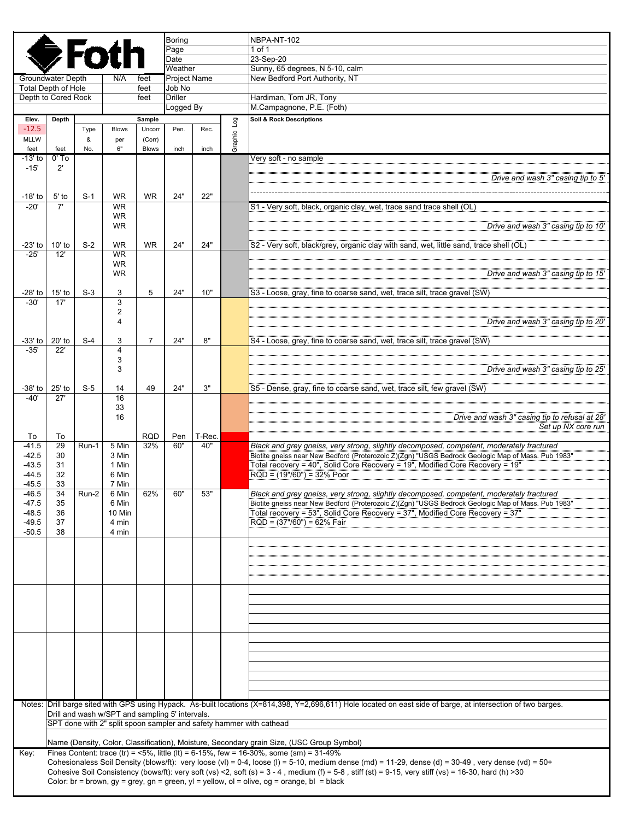|                  |                                                                                                                                                                                                                   |       |                 |                   | <b>Boring</b>          |               |                        | NBPA-NT-102                                                                                                                                                                                                                                                                                                                    |
|------------------|-------------------------------------------------------------------------------------------------------------------------------------------------------------------------------------------------------------------|-------|-----------------|-------------------|------------------------|---------------|------------------------|--------------------------------------------------------------------------------------------------------------------------------------------------------------------------------------------------------------------------------------------------------------------------------------------------------------------------------|
|                  | <b>SFotl</b>                                                                                                                                                                                                      |       |                 |                   | Page                   |               |                        | 1 of 1                                                                                                                                                                                                                                                                                                                         |
|                  |                                                                                                                                                                                                                   |       |                 |                   | Date                   |               |                        | 23-Sep-20                                                                                                                                                                                                                                                                                                                      |
|                  |                                                                                                                                                                                                                   |       |                 |                   | Weather                |               |                        | Sunny, 65 degrees, N 5-10, calm                                                                                                                                                                                                                                                                                                |
|                  | <b>Groundwater Depth</b><br><b>Total Depth of Hole</b>                                                                                                                                                            |       | N/A             | feet<br>feet      | Project Name<br>Job No |               |                        | New Bedford Port Authority, NT                                                                                                                                                                                                                                                                                                 |
|                  | Depth to Cored Rock                                                                                                                                                                                               |       | feet            | <b>Driller</b>    |                        |               | Hardiman, Tom JR, Tony |                                                                                                                                                                                                                                                                                                                                |
|                  |                                                                                                                                                                                                                   |       |                 |                   | Logged By              |               |                        | M.Campagnone, P.E. (Foth)                                                                                                                                                                                                                                                                                                      |
| Elev.            | Depth                                                                                                                                                                                                             |       |                 | Sample            |                        |               |                        | Soil & Rock Descriptions                                                                                                                                                                                                                                                                                                       |
| $-12.5$          |                                                                                                                                                                                                                   | Type  | Blows           | Uncorr            | Pen.                   | Rec.          | Graphic Log            |                                                                                                                                                                                                                                                                                                                                |
| <b>MLLW</b>      |                                                                                                                                                                                                                   | &     | per             | (Corr)            |                        |               |                        |                                                                                                                                                                                                                                                                                                                                |
| feet             | feet                                                                                                                                                                                                              | No.   | 6"              | <b>Blows</b>      | inch                   | inch          |                        |                                                                                                                                                                                                                                                                                                                                |
| -13' to          | $0'$ To                                                                                                                                                                                                           |       |                 |                   |                        |               |                        | Very soft - no sample                                                                                                                                                                                                                                                                                                          |
| $-15'$           | $2^{\prime}$                                                                                                                                                                                                      |       |                 |                   |                        |               |                        | Drive and wash 3" casing tip to 5'                                                                                                                                                                                                                                                                                             |
|                  |                                                                                                                                                                                                                   |       |                 |                   |                        |               |                        |                                                                                                                                                                                                                                                                                                                                |
| $-18'$ to        | $5'$ to                                                                                                                                                                                                           | $S-1$ | <b>WR</b>       | <b>WR</b>         | 24"                    | 22"           |                        |                                                                                                                                                                                                                                                                                                                                |
| $-20'$           | 7'                                                                                                                                                                                                                |       | <b>WR</b>       |                   |                        |               |                        | S1 - Very soft, black, organic clay, wet, trace sand trace shell (OL)                                                                                                                                                                                                                                                          |
|                  |                                                                                                                                                                                                                   |       | <b>WR</b>       |                   |                        |               |                        |                                                                                                                                                                                                                                                                                                                                |
|                  |                                                                                                                                                                                                                   |       | <b>WR</b>       |                   |                        |               |                        | Drive and wash 3" casing tip to 10'                                                                                                                                                                                                                                                                                            |
| -23' to          | $10'$ to                                                                                                                                                                                                          | $S-2$ | <b>WR</b>       | <b>WR</b>         | 24"                    | 24"           |                        | S2 - Very soft, black/grey, organic clay with sand, wet, little sand, trace shell (OL)                                                                                                                                                                                                                                         |
| $-25'$           | 12'                                                                                                                                                                                                               |       | <b>WR</b>       |                   |                        |               |                        |                                                                                                                                                                                                                                                                                                                                |
|                  |                                                                                                                                                                                                                   |       | WR              |                   |                        |               |                        |                                                                                                                                                                                                                                                                                                                                |
|                  |                                                                                                                                                                                                                   |       | <b>WR</b>       |                   |                        |               |                        | Drive and wash 3" casing tip to 15'                                                                                                                                                                                                                                                                                            |
|                  |                                                                                                                                                                                                                   |       |                 |                   |                        |               |                        |                                                                                                                                                                                                                                                                                                                                |
| -28' to          | $15'$ to                                                                                                                                                                                                          | $S-3$ | 3               | 5                 | 24"                    | 10"           |                        | S3 - Loose, gray, fine to coarse sand, wet, trace silt, trace gravel (SW)                                                                                                                                                                                                                                                      |
| $-30'$           | 17'                                                                                                                                                                                                               |       | 3               |                   |                        |               |                        |                                                                                                                                                                                                                                                                                                                                |
|                  |                                                                                                                                                                                                                   |       | 2<br>4          |                   |                        |               |                        | Drive and wash 3" casing tip to 20'                                                                                                                                                                                                                                                                                            |
|                  |                                                                                                                                                                                                                   |       |                 |                   |                        |               |                        |                                                                                                                                                                                                                                                                                                                                |
| $-33'$ to        | $20'$ to                                                                                                                                                                                                          | $S-4$ | 3               | 7                 | 24"                    | 8"            |                        | S4 - Loose, grey, fine to coarse sand, wet, trace silt, trace gravel (SW)                                                                                                                                                                                                                                                      |
| $-35'$           | 22'                                                                                                                                                                                                               |       | $\overline{4}$  |                   |                        |               |                        |                                                                                                                                                                                                                                                                                                                                |
|                  |                                                                                                                                                                                                                   |       | 3               |                   |                        |               |                        |                                                                                                                                                                                                                                                                                                                                |
|                  |                                                                                                                                                                                                                   |       | 3               |                   |                        |               |                        | Drive and wash 3" casing tip to 25'                                                                                                                                                                                                                                                                                            |
| -38' to          | $25'$ to                                                                                                                                                                                                          | $S-5$ | 14              | 49                | 24"                    | 3"            |                        | S5 - Dense, gray, fine to coarse sand, wet, trace silt, few gravel (SW)                                                                                                                                                                                                                                                        |
| $-40'$           | 27'                                                                                                                                                                                                               |       | 16              |                   |                        |               |                        |                                                                                                                                                                                                                                                                                                                                |
|                  |                                                                                                                                                                                                                   |       | 33              |                   |                        |               |                        |                                                                                                                                                                                                                                                                                                                                |
|                  |                                                                                                                                                                                                                   |       | 16              |                   |                        |               |                        | Drive and wash 3" casing tip to refusal at 28'                                                                                                                                                                                                                                                                                 |
|                  |                                                                                                                                                                                                                   |       |                 |                   |                        |               |                        | Set up NX core run                                                                                                                                                                                                                                                                                                             |
| To<br>$-41.5$    | To<br>29                                                                                                                                                                                                          |       | 5 Min           | <b>RQD</b><br>32% | Pen<br>60"             | T-Rec.<br>40" |                        |                                                                                                                                                                                                                                                                                                                                |
| $-42.5$          | 30                                                                                                                                                                                                                | Run-1 | 3 Min           |                   |                        |               |                        | Black and grey gneiss, very strong, slightly decomposed, competent, moderately fractured<br>Biotite gneiss near New Bedford (Proterozoic Z)(Zgn) "USGS Bedrock Geologic Map of Mass. Pub 1983"                                                                                                                                 |
| $-43.5$          | 31                                                                                                                                                                                                                |       | 1 Min           |                   |                        |               |                        | Total recovery = 40", Solid Core Recovery = 19", Modified Core Recovery = 19"                                                                                                                                                                                                                                                  |
| $-44.5$          | 32                                                                                                                                                                                                                |       | 6 Min           |                   |                        |               |                        | $RQD = (19*/60") = 32%$ Poor                                                                                                                                                                                                                                                                                                   |
| $-45.5$          | 33                                                                                                                                                                                                                |       | 7 Min           |                   |                        |               |                        |                                                                                                                                                                                                                                                                                                                                |
| -46.5            | 34                                                                                                                                                                                                                | Run-2 | 6 Min           | 62%               | 60"                    | 53"           |                        | Black and grey gneiss, very strong, slightly decomposed, competent, moderately fractured                                                                                                                                                                                                                                       |
| -47.5<br>$-48.5$ | 35<br>36                                                                                                                                                                                                          |       | 6 Min<br>10 Min |                   |                        |               |                        | Biotite gneiss near New Bedford (Proterozoic Z)(Zgn) "USGS Bedrock Geologic Map of Mass. Pub 1983"<br>Total recovery = 53", Solid Core Recovery = 37", Modified Core Recovery = 37"                                                                                                                                            |
| $-49.5$          | 37                                                                                                                                                                                                                |       | 4 min           |                   |                        |               |                        | $RQD = (37*/60") = 62%$ Fair                                                                                                                                                                                                                                                                                                   |
| $-50.5$          | 38                                                                                                                                                                                                                |       | 4 min           |                   |                        |               |                        |                                                                                                                                                                                                                                                                                                                                |
|                  |                                                                                                                                                                                                                   |       |                 |                   |                        |               |                        |                                                                                                                                                                                                                                                                                                                                |
|                  |                                                                                                                                                                                                                   |       |                 |                   |                        |               |                        |                                                                                                                                                                                                                                                                                                                                |
|                  |                                                                                                                                                                                                                   |       |                 |                   |                        |               |                        |                                                                                                                                                                                                                                                                                                                                |
|                  |                                                                                                                                                                                                                   |       |                 |                   |                        |               |                        |                                                                                                                                                                                                                                                                                                                                |
|                  |                                                                                                                                                                                                                   |       |                 |                   |                        |               |                        |                                                                                                                                                                                                                                                                                                                                |
|                  |                                                                                                                                                                                                                   |       |                 |                   |                        |               |                        |                                                                                                                                                                                                                                                                                                                                |
|                  |                                                                                                                                                                                                                   |       |                 |                   |                        |               |                        |                                                                                                                                                                                                                                                                                                                                |
|                  |                                                                                                                                                                                                                   |       |                 |                   |                        |               |                        |                                                                                                                                                                                                                                                                                                                                |
|                  |                                                                                                                                                                                                                   |       |                 |                   |                        |               |                        |                                                                                                                                                                                                                                                                                                                                |
|                  |                                                                                                                                                                                                                   |       |                 |                   |                        |               |                        |                                                                                                                                                                                                                                                                                                                                |
|                  |                                                                                                                                                                                                                   |       |                 |                   |                        |               |                        |                                                                                                                                                                                                                                                                                                                                |
|                  |                                                                                                                                                                                                                   |       |                 |                   |                        |               |                        |                                                                                                                                                                                                                                                                                                                                |
|                  |                                                                                                                                                                                                                   |       |                 |                   |                        |               |                        |                                                                                                                                                                                                                                                                                                                                |
|                  |                                                                                                                                                                                                                   |       |                 |                   |                        |               |                        |                                                                                                                                                                                                                                                                                                                                |
|                  |                                                                                                                                                                                                                   |       |                 |                   |                        |               |                        |                                                                                                                                                                                                                                                                                                                                |
|                  | Notes: Drill barge sited with GPS using Hypack. As-built locations (X=814,398, Y=2,696,611) Hole located on east side of barge, at intersection of two barges.<br>Drill and wash w/SPT and sampling 5' intervals. |       |                 |                   |                        |               |                        |                                                                                                                                                                                                                                                                                                                                |
|                  |                                                                                                                                                                                                                   |       |                 |                   |                        |               |                        | SPT done with 2" split spoon sampler and safety hammer with cathead                                                                                                                                                                                                                                                            |
|                  |                                                                                                                                                                                                                   |       |                 |                   |                        |               |                        |                                                                                                                                                                                                                                                                                                                                |
|                  |                                                                                                                                                                                                                   |       |                 |                   |                        |               |                        | Name (Density, Color, Classification), Moisture, Secondary grain Size, (USC Group Symbol)                                                                                                                                                                                                                                      |
| Key:             |                                                                                                                                                                                                                   |       |                 |                   |                        |               |                        | Fines Content: trace (tr) = <5%, little (lt) = 6-15%, few = 16-30%, some (sm) = $31-49%$                                                                                                                                                                                                                                       |
|                  |                                                                                                                                                                                                                   |       |                 |                   |                        |               |                        | Cohesionaless Soil Density (blows/ft): very loose (vl) = 0-4, loose (l) = 5-10, medium dense (md) = 11-29, dense (d) = 30-49, very dense (vd) = 50+<br>Cohesive Soil Consistency (bows/ft): very soft (vs) <2, soft (s) = $3 - 4$ , medium (f) = $5 - 8$ , stiff (st) = $9 - 15$ , very stiff (vs) = $16 - 30$ , hard (h) > 30 |
|                  |                                                                                                                                                                                                                   |       |                 |                   |                        |               |                        | Color: br = brown, gy = grey, gn = green, yl = yellow, ol = olive, og = orange, bl = black                                                                                                                                                                                                                                     |
|                  |                                                                                                                                                                                                                   |       |                 |                   |                        |               |                        |                                                                                                                                                                                                                                                                                                                                |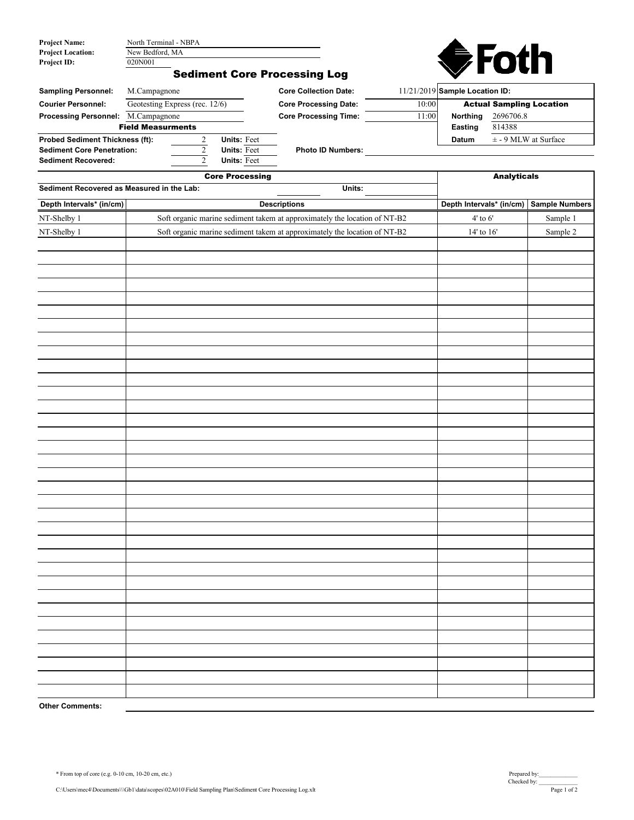| <b>Project Name:</b>     | North Terminal - NBPA |
|--------------------------|-----------------------|
| <b>Project Location:</b> | New Bedford, MA       |
| <b>Project ID:</b>       | 020N001               |



## Sediment Core Processing Log

| <b>Sampling Personnel:</b>             | M.Campagnone                   |                    | <b>Core Collection Date:</b> |       | 11/21/2019 Sample Location ID:  |                          |
|----------------------------------------|--------------------------------|--------------------|------------------------------|-------|---------------------------------|--------------------------|
| <b>Courier Personnel:</b>              | Geotesting Express (rec. 12/6) |                    | <b>Core Processing Date:</b> | 10:00 | <b>Actual Sampling Location</b> |                          |
| <b>Processing Personnel:</b>           | M.Campagnone                   |                    | <b>Core Processing Time:</b> | 11:00 | 2696706.8<br><b>Northing</b>    |                          |
|                                        | <b>Field Measurments</b>       |                    |                              |       | Easting                         | 814388                   |
| <b>Probed Sediment Thickness (ft):</b> |                                | <b>Units: Feet</b> |                              |       | <b>Datum</b>                    | $\pm$ - 9 MLW at Surface |
| <b>Sediment Core Penetration:</b>      |                                | <b>Units: Feet</b> | <b>Photo ID Numbers:</b>     |       |                                 |                          |
| <b>Sediment Recovered:</b>             |                                | <b>Units: Feet</b> |                              |       |                                 |                          |

|                                            | <b>Analyticals</b>                                                        |                          |                |  |
|--------------------------------------------|---------------------------------------------------------------------------|--------------------------|----------------|--|
| Sediment Recovered as Measured in the Lab: | Units:                                                                    |                          |                |  |
| Depth Intervals* (in/cm)                   | <b>Descriptions</b>                                                       | Depth Intervals* (in/cm) | Sample Numbers |  |
| NT-Shelby 1                                | Soft organic marine sediment takem at approximately the location of NT-B2 | $4^\circ$ to $6^\circ$   | Sample 1       |  |
| NT-Shelby 1                                | Soft organic marine sediment takem at approximately the location of NT-B2 | $14'$ to $16'$           | Sample 2       |  |
|                                            |                                                                           |                          |                |  |
|                                            |                                                                           |                          |                |  |
|                                            |                                                                           |                          |                |  |
|                                            |                                                                           |                          |                |  |
|                                            |                                                                           |                          |                |  |
|                                            |                                                                           |                          |                |  |
|                                            |                                                                           |                          |                |  |
|                                            |                                                                           |                          |                |  |
|                                            |                                                                           |                          |                |  |
|                                            |                                                                           |                          |                |  |
|                                            |                                                                           |                          |                |  |
|                                            |                                                                           |                          |                |  |
|                                            |                                                                           |                          |                |  |
|                                            |                                                                           |                          |                |  |
|                                            |                                                                           |                          |                |  |
|                                            |                                                                           |                          |                |  |
|                                            |                                                                           |                          |                |  |
|                                            |                                                                           |                          |                |  |
|                                            |                                                                           |                          |                |  |
|                                            |                                                                           |                          |                |  |
|                                            |                                                                           |                          |                |  |
|                                            |                                                                           |                          |                |  |
|                                            |                                                                           |                          |                |  |
|                                            |                                                                           |                          |                |  |
|                                            |                                                                           |                          |                |  |
|                                            |                                                                           |                          |                |  |
|                                            |                                                                           |                          |                |  |
|                                            |                                                                           |                          |                |  |
|                                            |                                                                           |                          |                |  |
|                                            |                                                                           |                          |                |  |
|                                            |                                                                           |                          |                |  |
|                                            |                                                                           |                          |                |  |
|                                            |                                                                           |                          |                |  |
| <b>Other Comments:</b>                     |                                                                           |                          |                |  |